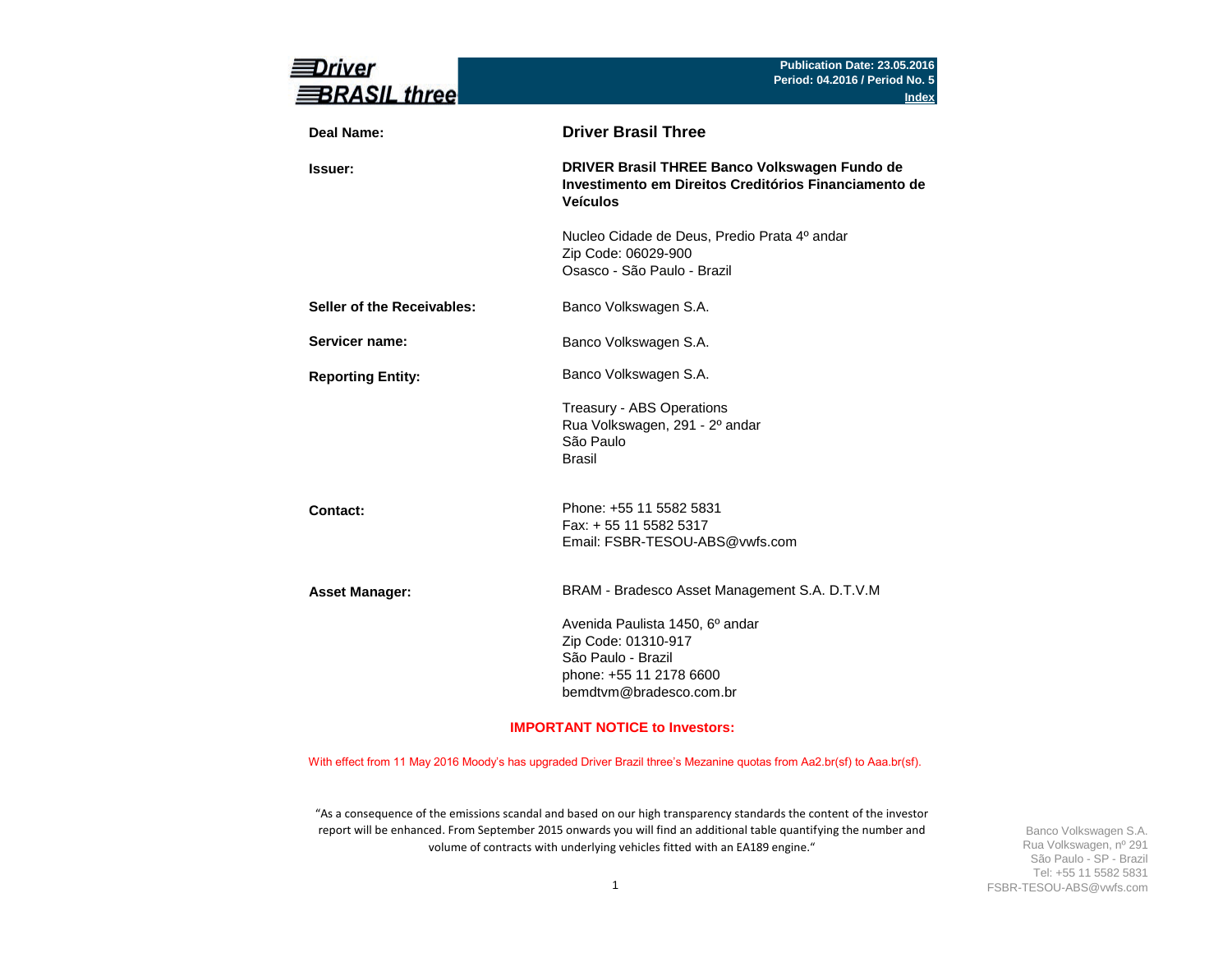| river<br><b>BRASIL three</b> | Publication Date: 23.05.2016<br>Period: 04.2016 / Period No. 5<br><b>Index</b>                                                     |
|------------------------------|------------------------------------------------------------------------------------------------------------------------------------|
| <b>Deal Name:</b>            | <b>Driver Brasil Three</b>                                                                                                         |
| <b>Issuer:</b>               | DRIVER Brasil THREE Banco Volkswagen Fundo de<br>Investimento em Direitos Creditórios Financiamento de<br><b>Veículos</b>          |
|                              | Nucleo Cidade de Deus, Predio Prata 4º andar<br>Zip Code: 06029-900<br>Osasco - São Paulo - Brazil                                 |
| Seller of the Receivables:   | Banco Volkswagen S.A.                                                                                                              |
| Servicer name:               | Banco Volkswagen S.A.                                                                                                              |
| <b>Reporting Entity:</b>     | Banco Volkswagen S.A.                                                                                                              |
|                              | Treasury - ABS Operations<br>Rua Volkswagen, 291 - 2º andar<br>São Paulo<br><b>Brasil</b>                                          |
| Contact:                     | Phone: +55 11 5582 5831<br>Fax: + 55 11 5582 5317<br>Email: FSBR-TESOU-ABS@vwfs.com                                                |
| <b>Asset Manager:</b>        | BRAM - Bradesco Asset Management S.A. D.T.V.M                                                                                      |
|                              | Avenida Paulista 1450, 6º andar<br>Zip Code: 01310-917<br>São Paulo - Brazil<br>phone: +55 11 2178 6600<br>bemdtvm@bradesco.com.br |
|                              | <b>IMPORTANT NOTICE to Investors:</b>                                                                                              |

With effect from 11 May 2016 Moody's has upgraded Driver Brazil three's Mezanine quotas from Aa2.br(sf) to Aaa.br(sf).

"As a consequence of the emissions scandal and based on our high transparency standards the content of the investor report will be enhanced. From September 2015 onwards you will find an additional table quantifying the number and volume of contracts with underlying vehicles fitted with an EA189 engine."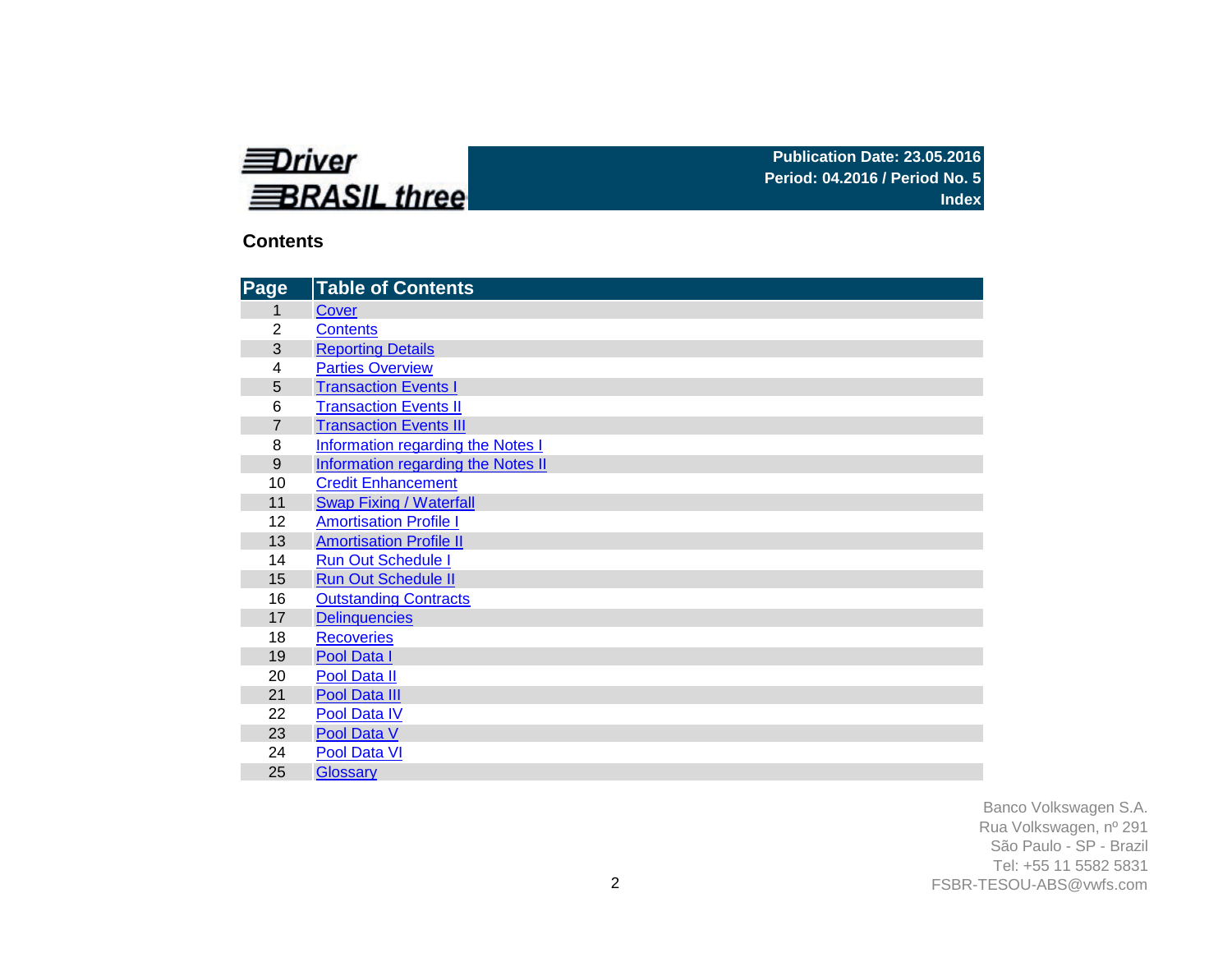

### **Contents**

| Page           | <b>Table of Contents</b>                  |
|----------------|-------------------------------------------|
| 1              | Cover                                     |
| $\overline{2}$ | <b>Contents</b>                           |
| 3              | <b>Reporting Details</b>                  |
| 4              | <b>Parties Overview</b>                   |
| 5              | <b>Transaction Events I</b>               |
| 6              | <b>Transaction Events II</b>              |
| $\overline{7}$ | <b>Transaction Events III</b>             |
| 8              | Information regarding the Notes I         |
| 9              | <b>Information regarding the Notes II</b> |
| 10             | <b>Credit Enhancement</b>                 |
| 11             | <b>Swap Fixing / Waterfall</b>            |
| 12             | <b>Amortisation Profile I</b>             |
| 13             | <b>Amortisation Profile II</b>            |
| 14             | <b>Run Out Schedule I</b>                 |
| 15             | <b>Run Out Schedule II</b>                |
| 16             | <b>Outstanding Contracts</b>              |
| 17             | <b>Delinquencies</b>                      |
| 18             | <b>Recoveries</b>                         |
| 19             | Pool Data I                               |
| 20             | Pool Data II                              |
| 21             | Pool Data III                             |
| 22             | Pool Data IV                              |
| 23             | Pool Data V                               |
| 24             | Pool Data VI                              |
| 25             | <b>Glossary</b>                           |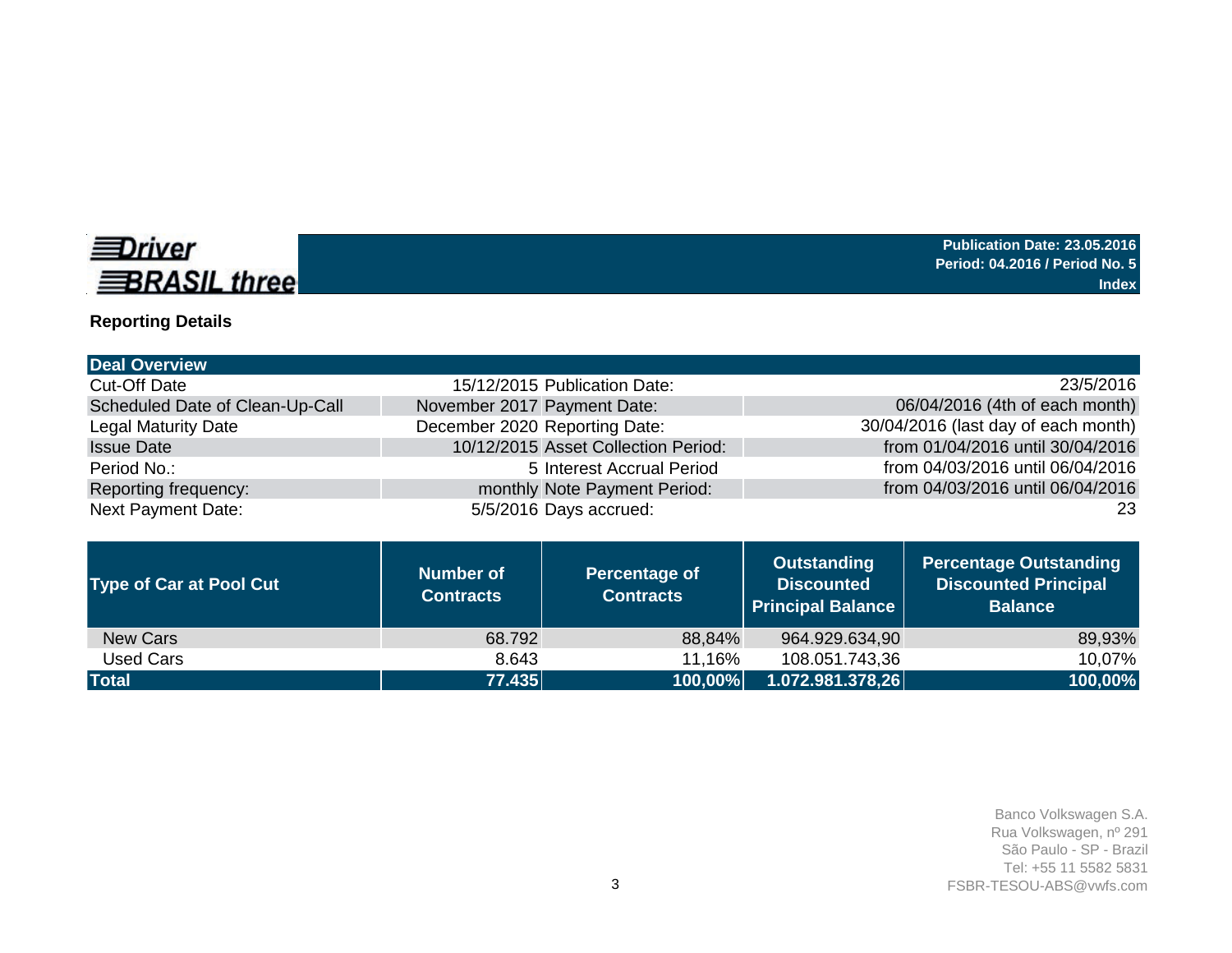

# **Reporting Details**

| <b>Deal Overview</b>            |                                      |                                     |                                                                     |                                                                                |
|---------------------------------|--------------------------------------|-------------------------------------|---------------------------------------------------------------------|--------------------------------------------------------------------------------|
| <b>Cut-Off Date</b>             |                                      | 15/12/2015 Publication Date:        |                                                                     | 23/5/2016                                                                      |
| Scheduled Date of Clean-Up-Call | November 2017 Payment Date:          |                                     |                                                                     | 06/04/2016 (4th of each month)                                                 |
| <b>Legal Maturity Date</b>      | December 2020 Reporting Date:        |                                     |                                                                     | 30/04/2016 (last day of each month)                                            |
| <b>Issue Date</b>               |                                      | 10/12/2015 Asset Collection Period: |                                                                     | from 01/04/2016 until 30/04/2016                                               |
| Period No.:                     |                                      | 5 Interest Accrual Period           |                                                                     | from 04/03/2016 until 06/04/2016                                               |
| Reporting frequency:            |                                      | monthly Note Payment Period:        |                                                                     | from 04/03/2016 until 06/04/2016                                               |
| <b>Next Payment Date:</b>       |                                      | 5/5/2016 Days accrued:              |                                                                     | 23                                                                             |
|                                 |                                      |                                     |                                                                     |                                                                                |
| <b>Type of Car at Pool Cut</b>  | <b>Number of</b><br><b>Contracts</b> | Percentage of<br><b>Contracts</b>   | <b>Outstanding</b><br><b>Discounted</b><br><b>Principal Balance</b> | <b>Percentage Outstanding</b><br><b>Discounted Principal</b><br><b>Balance</b> |

New Cars 68.792 68.792 88,84% 964.929.634,90 89,93% 89,93% 89,93% 964.929.634,90 89,93% 89,93% 108.051.743,36 **Total 77.435 100,00% 1.072.981.378,26 100,00%**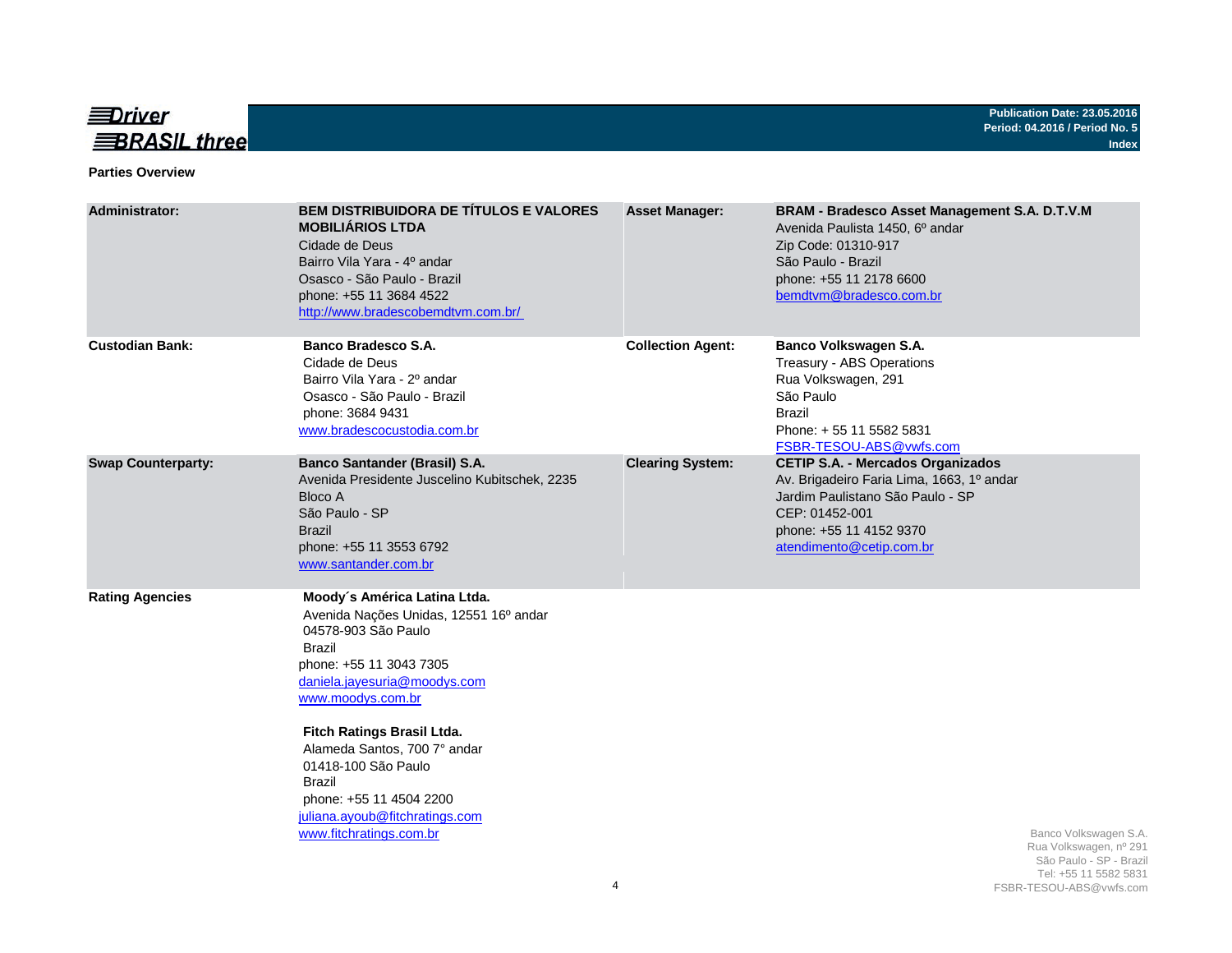

#### **Parties Overview**

| <b>Administrator:</b>     | <b>BEM DISTRIBUIDORA DE TÍTULOS E VALORES</b><br><b>MOBILIÁRIOS LTDA</b><br>Cidade de Deus<br>Bairro Vila Yara - 4º andar<br>Osasco - São Paulo - Brazil<br>phone: +55 11 3684 4522<br>http://www.bradescobemdtvm.com.br/                                                                                                                                                                    | <b>Asset Manager:</b>    | BRAM - Bradesco Asset Management S.A. D.T.V.M<br>Avenida Paulista 1450, 6º andar<br>Zip Code: 01310-917<br>São Paulo - Brazil<br>phone: +55 11 2178 6600<br>bemdtvm@bradesco.com.br                |
|---------------------------|----------------------------------------------------------------------------------------------------------------------------------------------------------------------------------------------------------------------------------------------------------------------------------------------------------------------------------------------------------------------------------------------|--------------------------|----------------------------------------------------------------------------------------------------------------------------------------------------------------------------------------------------|
| <b>Custodian Bank:</b>    | <b>Banco Bradesco S.A.</b><br>Cidade de Deus<br>Bairro Vila Yara - 2º andar<br>Osasco - São Paulo - Brazil<br>phone: 3684 9431<br>www.bradescocustodia.com.br                                                                                                                                                                                                                                | <b>Collection Agent:</b> | Banco Volkswagen S.A.<br>Treasury - ABS Operations<br>Rua Volkswagen, 291<br>São Paulo<br><b>Brazil</b><br>Phone: +55 11 5582 5831<br>FSBR-TESOU-ABS@vwfs.com                                      |
| <b>Swap Counterparty:</b> | Banco Santander (Brasil) S.A.<br>Avenida Presidente Juscelino Kubitschek, 2235<br>Bloco A<br>São Paulo - SP<br><b>Brazil</b><br>phone: +55 11 3553 6792<br>www.santander.com.br                                                                                                                                                                                                              | <b>Clearing System:</b>  | <b>CETIP S.A. - Mercados Organizados</b><br>Av. Brigadeiro Faria Lima, 1663, 1º andar<br>Jardim Paulistano São Paulo - SP<br>CEP: 01452-001<br>phone: +55 11 4152 9370<br>atendimento@cetip.com.br |
| <b>Rating Agencies</b>    | Moody's América Latina Ltda.<br>Avenida Nações Unidas, 12551 16º andar<br>04578-903 São Paulo<br><b>Brazil</b><br>phone: +55 11 3043 7305<br>daniela.jayesuria@moodys.com<br>www.moodys.com.br<br>Fitch Ratings Brasil Ltda.<br>Alameda Santos, 700 7° andar<br>01418-100 São Paulo<br><b>Brazil</b><br>phone: +55 11 4504 2200<br>juliana.ayoub@fitchratings.com<br>www.fitchratings.com.br | 4                        | Banco Volkswagen S.A.<br>Rua Volkswagen, nº 291<br>São Paulo - SP - Brazil<br>Tel: +55 11 5582 5831<br>FSBR-TESOU-ABS@vwfs.com                                                                     |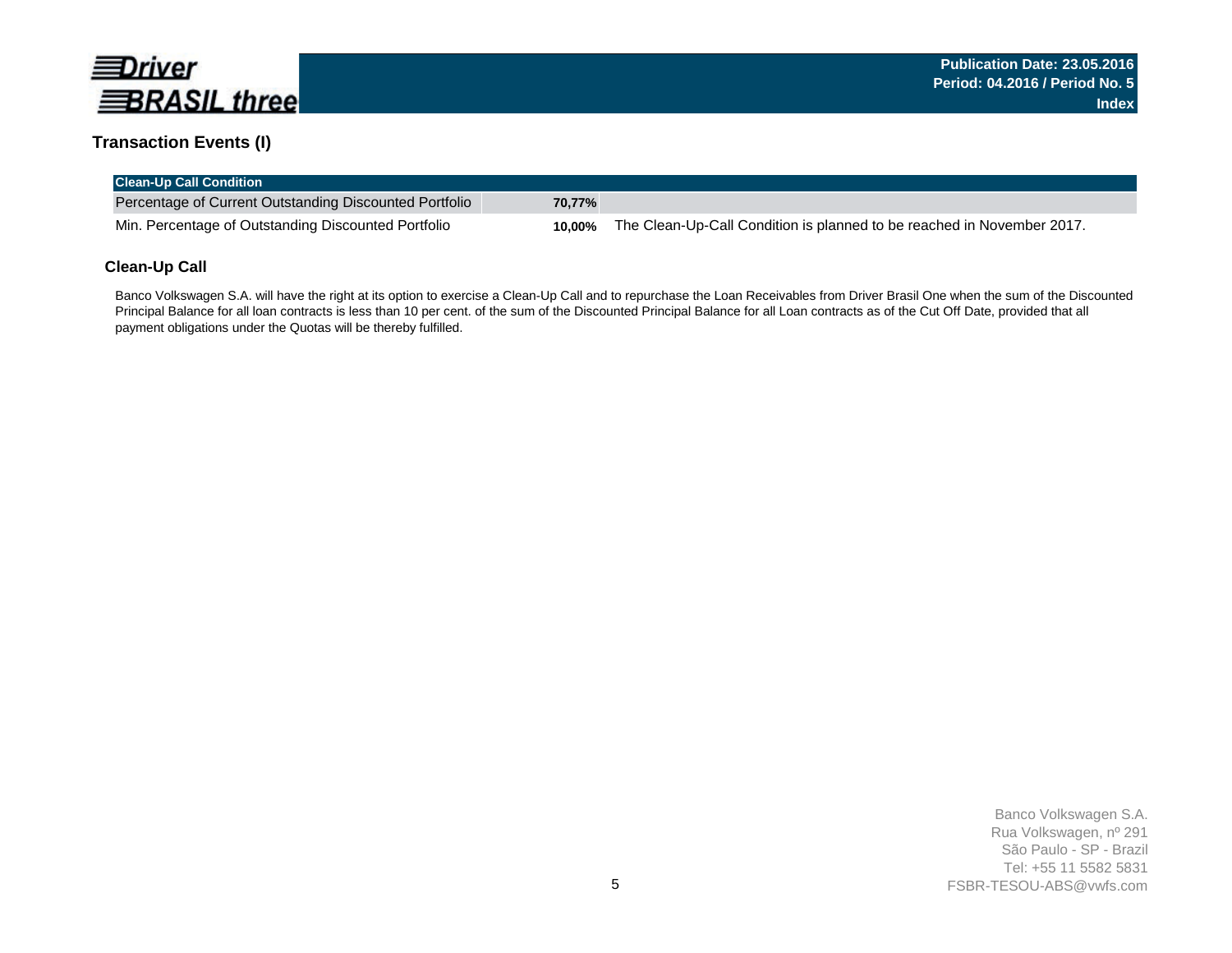

### **Transaction Events (I)**

| <b>Clean-Up Call Condition</b>                         |        |                                                                        |
|--------------------------------------------------------|--------|------------------------------------------------------------------------|
| Percentage of Current Outstanding Discounted Portfolio | 70.77% |                                                                        |
| Min. Percentage of Outstanding Discounted Portfolio    | 10.00% | The Clean-Up-Call Condition is planned to be reached in November 2017. |

### **Clean-Up Call**

Banco Volkswagen S.A. will have the right at its option to exercise a Clean-Up Call and to repurchase the Loan Receivables from Driver Brasil One when the sum of the Discounted Principal Balance for all loan contracts is less than 10 per cent. of the sum of the Discounted Principal Balance for all Loan contracts as of the Cut Off Date, provided that all payment obligations under the Quotas will be thereby fulfilled.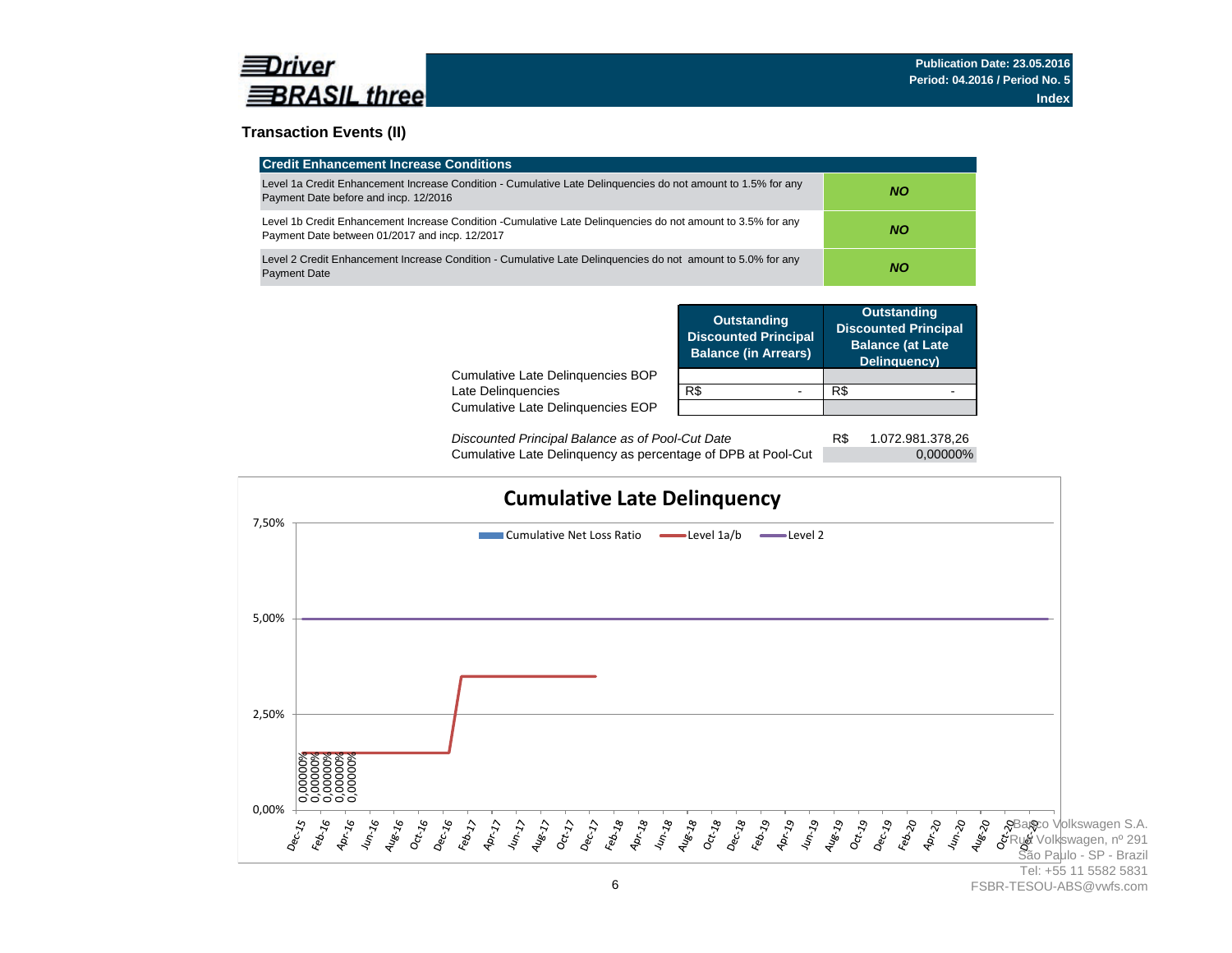

### **Transaction Events (II)**

| <b>Credit Enhancement Increase Conditions</b>                                                                                                                 |     |
|---------------------------------------------------------------------------------------------------------------------------------------------------------------|-----|
| Level 1a Credit Enhancement Increase Condition - Cumulative Late Delinguencies do not amount to 1.5% for any<br>Payment Date before and incp. 12/2016         | NO. |
| Level 1b Credit Enhancement Increase Condition -Cumulative Late Delinguencies do not amount to 3.5% for any<br>Payment Date between 01/2017 and incp. 12/2017 | NO. |
| Level 2 Credit Enhancement Increase Condition - Cumulative Late Delinguencies do not amount to 5.0% for any<br><b>Payment Date</b>                            | NO. |

|                                                         | <b>Outstanding</b><br><b>Discounted Principal</b><br><b>Balance (in Arrears)</b> | <b>Outstanding</b><br><b>Discounted Principal</b><br><b>Balance (at Late</b><br>Delinquency) |  |
|---------------------------------------------------------|----------------------------------------------------------------------------------|----------------------------------------------------------------------------------------------|--|
| Cumulative Late Delinguencies BOP<br>Late Delinquencies | R\$                                                                              | R\$                                                                                          |  |
| Cumulative Late Delinguencies EOP                       |                                                                                  |                                                                                              |  |
|                                                         |                                                                                  |                                                                                              |  |

R\$ 1.072.981.378,26 Cumulative Late Delinquency as percentage of DPB at Pool-Cut 0,00000% *Discounted Principal Balance as of Pool-Cut Date*

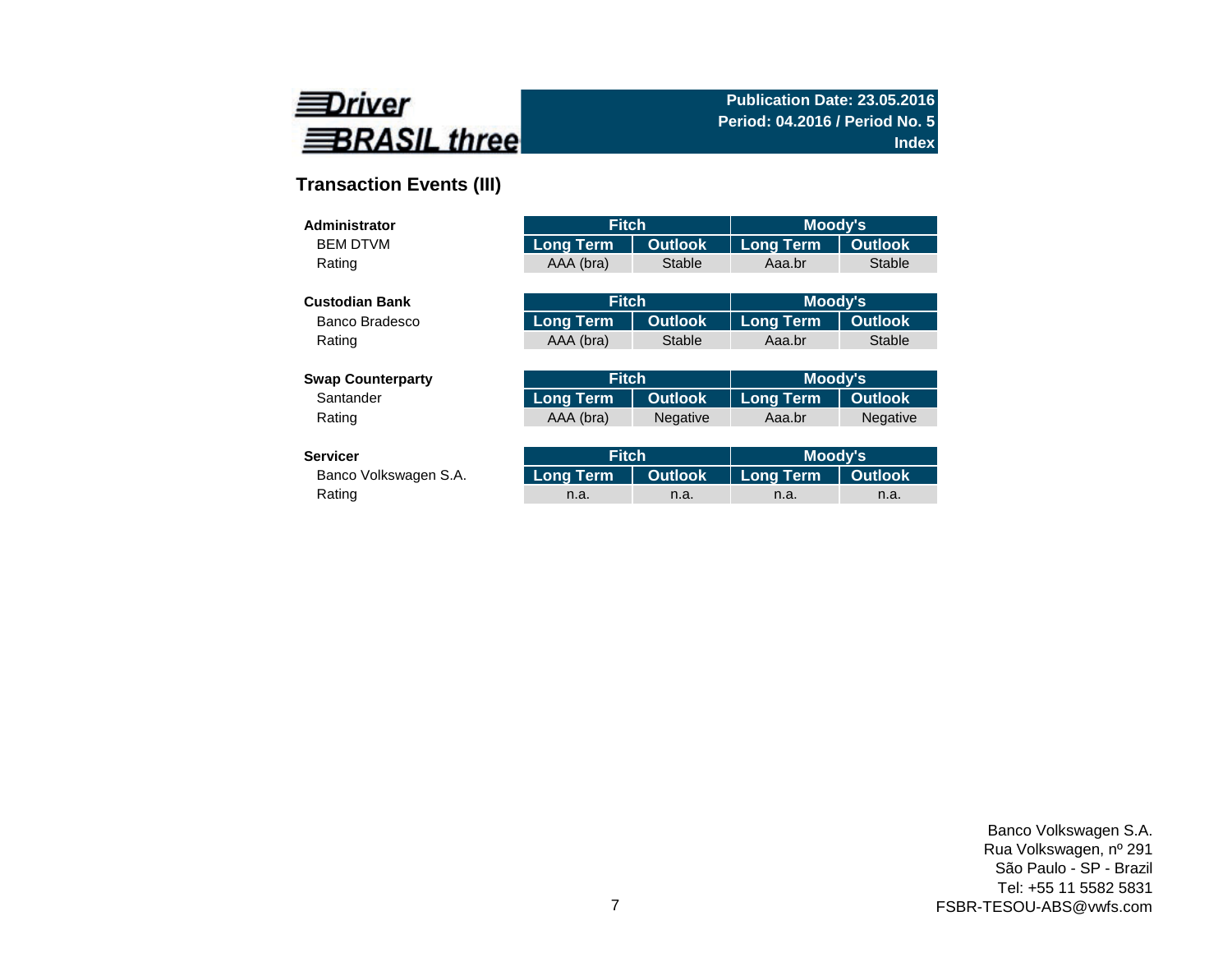

# **Transaction Events (III)**

| Administrator            | <b>Fitch</b>     |                 | <b>Moody's</b>   |                 |
|--------------------------|------------------|-----------------|------------------|-----------------|
| <b>BEM DTVM</b>          | <b>Long Term</b> | <b>Outlook</b>  | <b>Long Term</b> | <b>Outlook</b>  |
| Rating                   | AAA (bra)        | <b>Stable</b>   | Aaa.br           | <b>Stable</b>   |
|                          |                  |                 |                  |                 |
| <b>Custodian Bank</b>    | <b>Fitch</b>     |                 | Moody's          |                 |
| Banco Bradesco           | <b>Long Term</b> | <b>Outlook</b>  | <b>Long Term</b> | <b>Outlook</b>  |
| Rating                   | AAA (bra)        | Stable          | Aaa.br           | <b>Stable</b>   |
|                          |                  |                 |                  |                 |
| <b>Swap Counterparty</b> | <b>Fitch</b>     |                 | Moody's          |                 |
| Santander                | <b>Long Term</b> | <b>Outlook</b>  | <b>Long Term</b> | <b>Outlook</b>  |
| Rating                   | AAA (bra)        | <b>Negative</b> | Aaa.br           | <b>Negative</b> |
|                          |                  |                 |                  |                 |
| <b>Servicer</b>          | <b>Fitch</b>     |                 | Moody's          |                 |

| ervicer               | <b>Fitch</b> |      | Moody's                                   |      |  |
|-----------------------|--------------|------|-------------------------------------------|------|--|
| Banco Volkswagen S.A. |              |      | Long Term   Outlook   Long Term   Outlook |      |  |
| Rating                | n.a.         | n.a. | n.a.                                      | n.a. |  |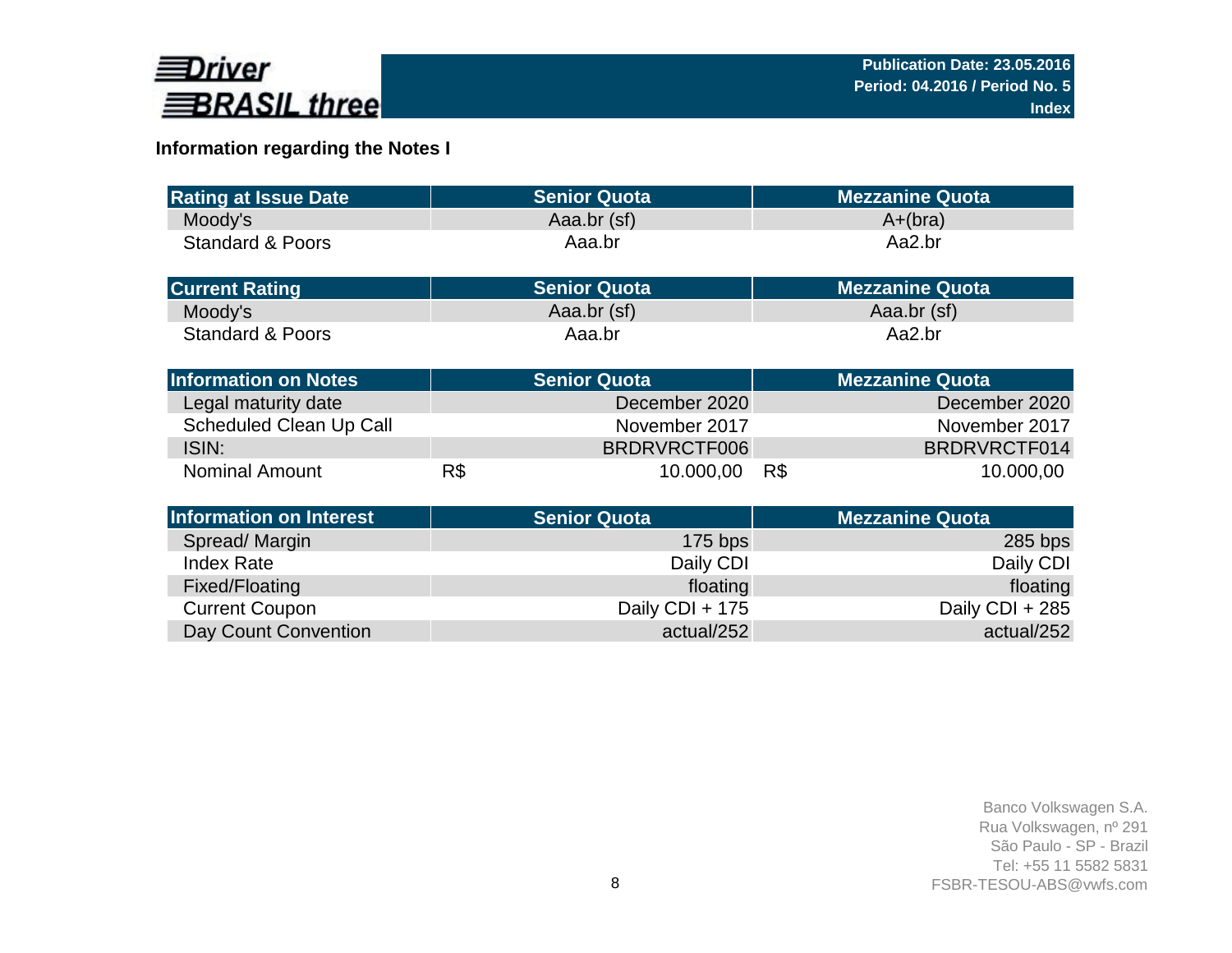

# **Information regarding the Notes I**

| <b>Rating at Issue Date</b>    |     | <b>Senior Quota</b> | <b>Mezzanine Quota</b> |  |
|--------------------------------|-----|---------------------|------------------------|--|
| Moody's                        |     | Aaa.br (sf)         | $A+(bra)$              |  |
| <b>Standard &amp; Poors</b>    |     | Aaa.br              | Aa2.br                 |  |
|                                |     |                     |                        |  |
| <b>Current Rating</b>          |     | <b>Senior Quota</b> | <b>Mezzanine Quota</b> |  |
| Moody's                        |     | Aaa.br (sf)         | Aaa.br (sf)            |  |
| <b>Standard &amp; Poors</b>    |     | Aaa.br              | Aa2.br                 |  |
|                                |     |                     |                        |  |
| <b>Information on Notes</b>    |     | <b>Senior Quota</b> | <b>Mezzanine Quota</b> |  |
| Legal maturity date            |     | December 2020       | December 2020          |  |
| <b>Scheduled Clean Up Call</b> |     | November 2017       | November 2017          |  |
| ISIN:                          |     | BRDRVRCTF006        | BRDRVRCTF014           |  |
| <b>Nominal Amount</b>          | R\$ | 10.000,00           | 10.000,00<br>R\$       |  |
|                                |     |                     |                        |  |
| <b>Information on Interest</b> |     | <b>Senior Quota</b> | <b>Mezzanine Quota</b> |  |
| Spread/Margin                  |     | $175$ bps           | $285$ bps              |  |
| <b>Index Rate</b>              |     | Daily CDI           | Daily CDI              |  |
| Fixed/Floating                 |     | floating            | floating               |  |
| <b>Current Coupon</b>          |     | Daily CDI + 175     | Daily CDI + 285        |  |
| Day Count Convention           |     | actual/252          | actual/252             |  |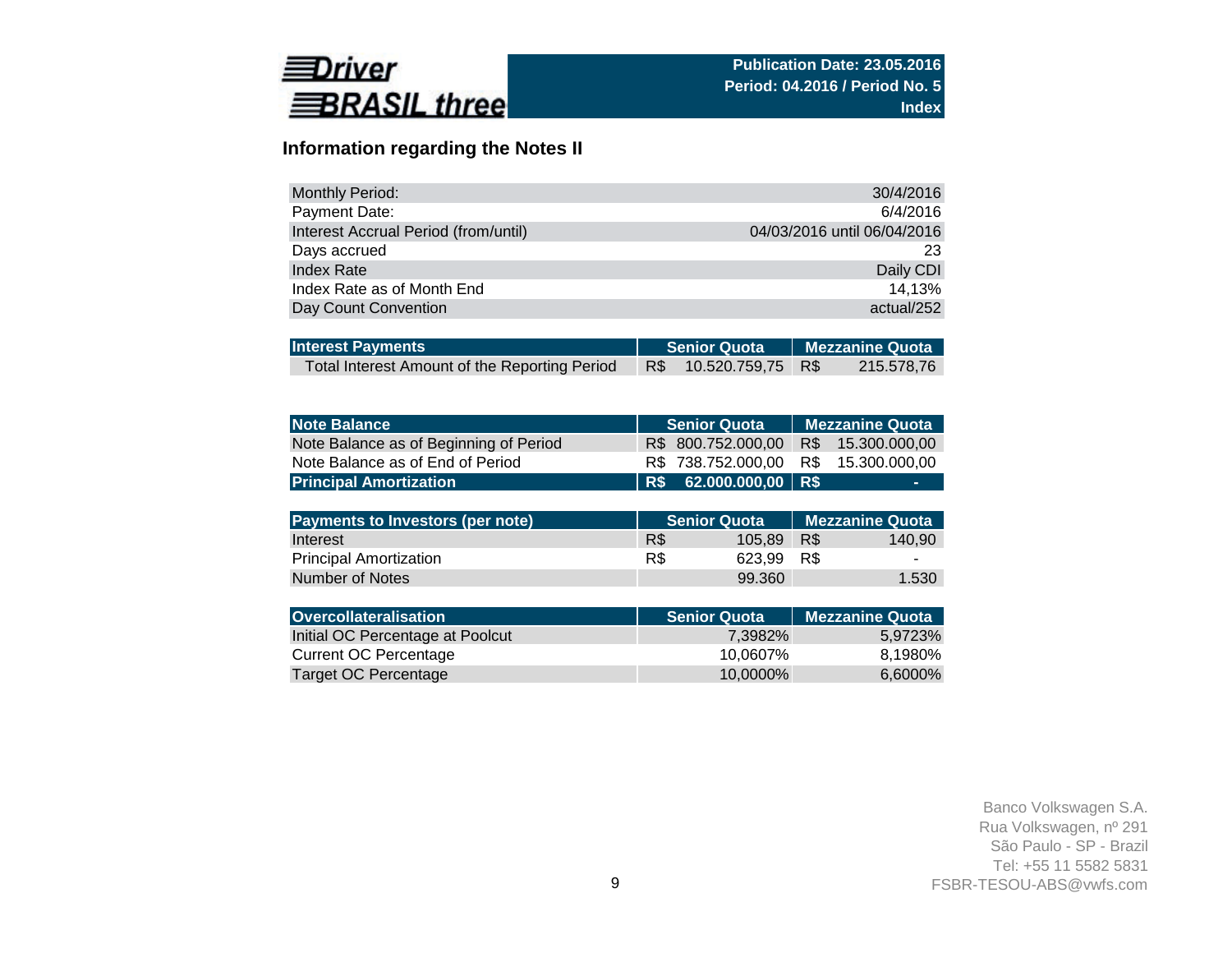

# **Information regarding the Notes II**

| <b>Monthly Period:</b>               | 30/4/2016                   |
|--------------------------------------|-----------------------------|
| Payment Date:                        | 6/4/2016                    |
| Interest Accrual Period (from/until) | 04/03/2016 until 06/04/2016 |
| Days accrued                         | 23                          |
| Index Rate                           | Daily CDI                   |
| Index Rate as of Month End           | 14.13%                      |
| Day Count Convention                 | actual/252                  |

| <b>Interest Payments</b>                      |  | Senior Quota   Mezzanine Quota |  |            |  |
|-----------------------------------------------|--|--------------------------------|--|------------|--|
| Total Interest Amount of the Reporting Period |  | R\$ 10.520.759,75 R\$          |  | 215.578,76 |  |

| <b>Note Balance</b>                     |     | <b>Senior Quota</b> |     | <b>Mezzanine Quota</b> |
|-----------------------------------------|-----|---------------------|-----|------------------------|
| Note Balance as of Beginning of Period  | R\$ | 800.752.000,00      | R\$ | 15.300.000,00          |
| Note Balance as of End of Period        | R\$ | 738.752.000,00      | R\$ | 15.300.000,00          |
| <b>Principal Amortization</b>           | R\$ | 62.000.000,00 R\$   |     | -                      |
|                                         |     |                     |     |                        |
| <b>Payments to Investors (per note)</b> |     | <b>Senior Quota</b> |     | <b>Mezzanine Quota</b> |
| Interest                                | R\$ | 105,89              | R\$ | 140,90                 |
| <b>Principal Amortization</b>           | R\$ | 623,99              | R\$ |                        |
| Number of Notes                         |     | 99.360              |     | 1.530                  |
|                                         |     |                     |     |                        |
| <b>Overcollateralisation</b>            |     | <b>Senior Quota</b> |     | <b>Mezzanine Quota</b> |
| Initial OC Percentage at Poolcut        |     | 7,3982%             |     | 5,9723%                |
| <b>Current OC Percentage</b>            |     | 10,0607%            |     | 8,1980%                |
| Target OC Percentage                    |     | 10,0000%            |     | 6,6000%                |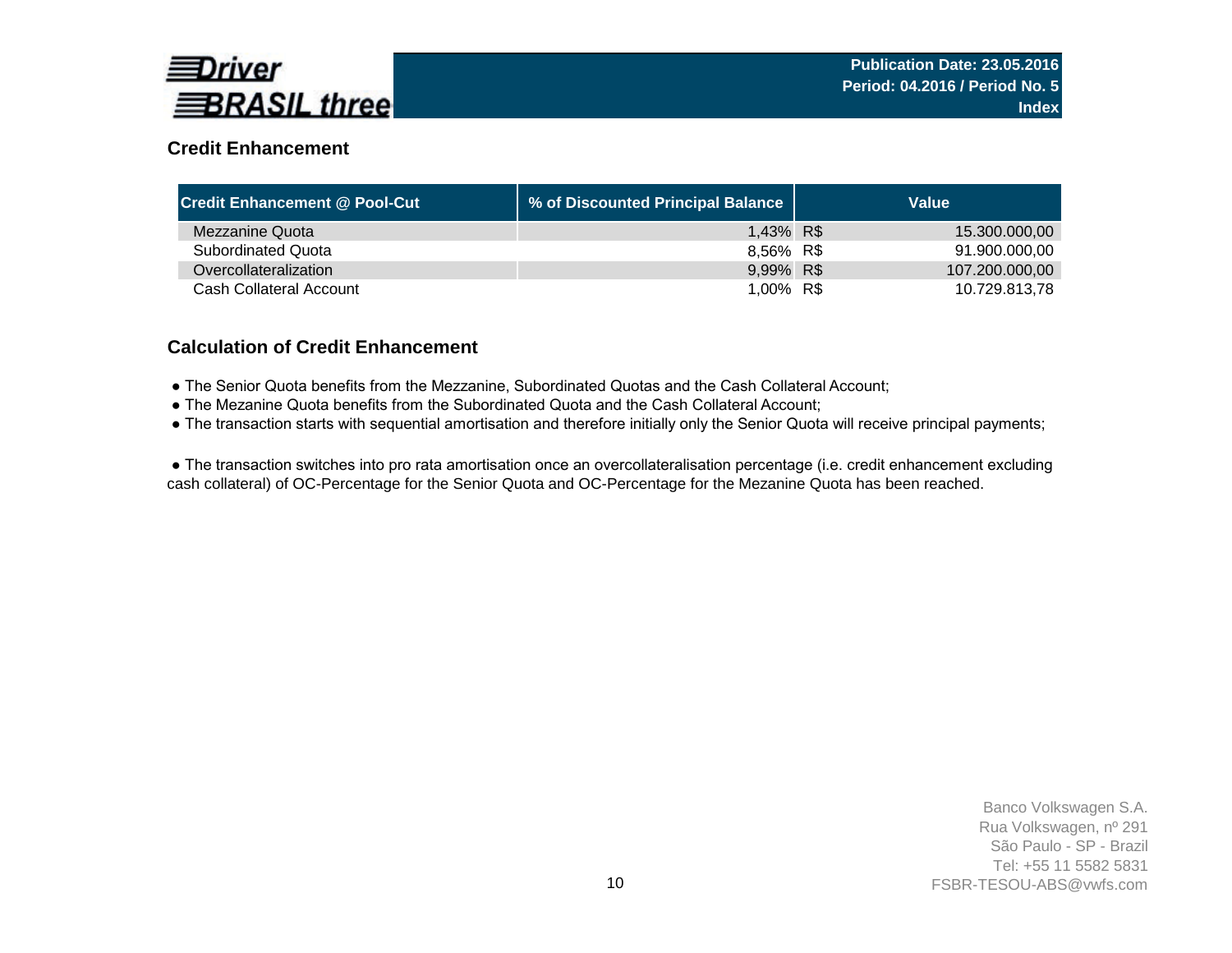

# **Credit Enhancement**

| <b>Credit Enhancement @ Pool-Cut</b> | % of Discounted Principal Balance | Value          |
|--------------------------------------|-----------------------------------|----------------|
| Mezzanine Quota                      | 1,43% R\$                         | 15.300.000,00  |
| <b>Subordinated Quota</b>            | 8,56% R\$                         | 91.900.000.00  |
| Overcollateralization                | 9,99% R\$                         | 107.200.000,00 |
| Cash Collateral Account              | 1,00% R\$                         | 10.729.813,78  |

### **Calculation of Credit Enhancement**

- The Senior Quota benefits from the Mezzanine, Subordinated Quotas and the Cash Collateral Account;
- The Mezanine Quota benefits from the Subordinated Quota and the Cash Collateral Account;
- The transaction starts with sequential amortisation and therefore initially only the Senior Quota will receive principal payments;

 ● The transaction switches into pro rata amortisation once an overcollateralisation percentage (i.e. credit enhancement excluding cash collateral) of OC-Percentage for the Senior Quota and OC-Percentage for the Mezanine Quota has been reached.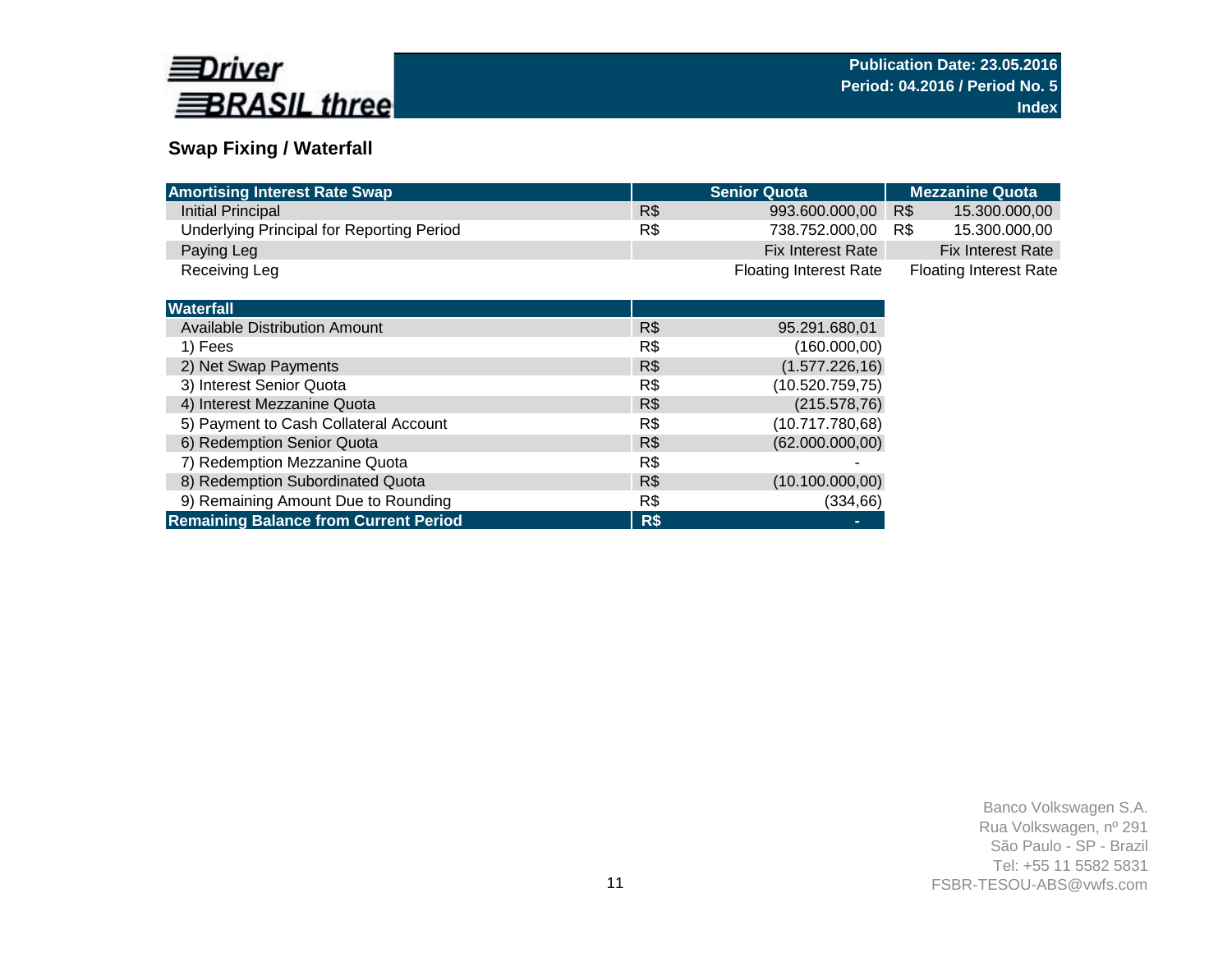

# **Swap Fixing / Waterfall**

| <b>Amortising Interest Rate Swap</b>             |     | <b>Senior Quota</b>           | <b>Mezzanine Quota</b>        |
|--------------------------------------------------|-----|-------------------------------|-------------------------------|
| Initial Principal                                | R\$ | 993.600.000,00                | R\$<br>15.300.000,00          |
| <b>Underlying Principal for Reporting Period</b> | R\$ | 738.752.000,00                | 15.300.000,00<br>R\$          |
| Paying Leg                                       |     | Fix Interest Rate             | <b>Fix Interest Rate</b>      |
| Receiving Leg                                    |     | <b>Floating Interest Rate</b> | <b>Floating Interest Rate</b> |
|                                                  |     |                               |                               |
| <b>Waterfall</b>                                 |     |                               |                               |
| <b>Available Distribution Amount</b>             | R\$ | 95.291.680,01                 |                               |
| 1) Fees                                          | R\$ | (160.000,00)                  |                               |
| 2) Net Swap Payments                             | R\$ | (1.577.226, 16)               |                               |
| 3) Interest Senior Quota                         | R\$ | (10.520.759,75)               |                               |
| 4) Interest Mezzanine Quota                      | R\$ | (215.578, 76)                 |                               |
| 5) Payment to Cash Collateral Account            | R\$ | (10.717.780,68)               |                               |
| 6) Redemption Senior Quota                       | R\$ | (62.000.000, 00)              |                               |
| 7) Redemption Mezzanine Quota                    | R\$ |                               |                               |
| 8) Redemption Subordinated Quota                 | R\$ | (10.100.000, 00)              |                               |
| 9) Remaining Amount Due to Rounding              | R\$ | (334, 66)                     |                               |
| <b>Remaining Balance from Current Period</b>     | R\$ | ۰                             |                               |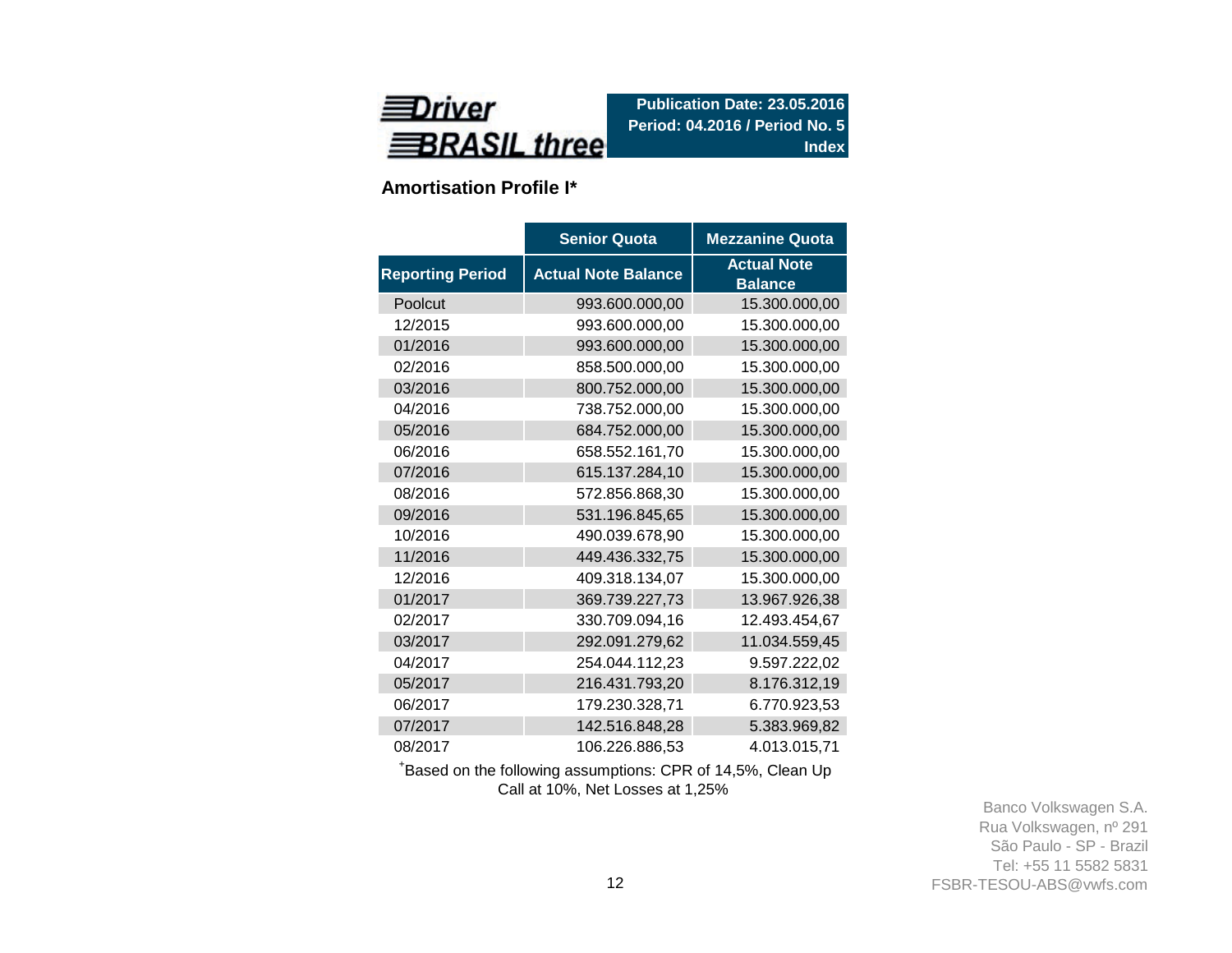

**Amortisation Profile I\***

|                         | <b>Senior Quota</b>        | <b>Mezzanine Quota</b>               |
|-------------------------|----------------------------|--------------------------------------|
| <b>Reporting Period</b> | <b>Actual Note Balance</b> | <b>Actual Note</b><br><b>Balance</b> |
| Poolcut                 | 993.600.000,00             | 15.300.000,00                        |
| 12/2015                 | 993.600.000,00             | 15.300.000,00                        |
| 01/2016                 | 993.600.000,00             | 15.300.000,00                        |
| 02/2016                 | 858.500.000,00             | 15.300.000,00                        |
| 03/2016                 | 800.752.000,00             | 15.300.000,00                        |
| 04/2016                 | 738.752.000,00             | 15.300.000,00                        |
| 05/2016                 | 684.752.000,00             | 15.300.000,00                        |
| 06/2016                 | 658.552.161,70             | 15.300.000,00                        |
| 07/2016                 | 615.137.284,10             | 15.300.000,00                        |
| 08/2016                 | 572.856.868,30             | 15.300.000,00                        |
| 09/2016                 | 531.196.845,65             | 15.300.000,00                        |
| 10/2016                 | 490.039.678,90             | 15.300.000,00                        |
| 11/2016                 | 449.436.332,75             | 15.300.000,00                        |
| 12/2016                 | 409.318.134,07             | 15.300.000,00                        |
| 01/2017                 | 369.739.227,73             | 13.967.926,38                        |
| 02/2017                 | 330.709.094,16             | 12.493.454,67                        |
| 03/2017                 | 292.091.279,62             | 11.034.559,45                        |
| 04/2017                 | 254.044.112,23             | 9.597.222,02                         |
| 05/2017                 | 216.431.793,20             | 8.176.312,19                         |
| 06/2017                 | 179.230.328,71             | 6.770.923,53                         |
| 07/2017                 | 142.516.848,28             | 5.383.969,82                         |
| 08/2017                 | 106.226.886,53             | 4.013.015,71                         |

<sup>+</sup>Based on the following assumptions: CPR of 14,5%, Clean Up Call at 10%, Net Losses at 1,25%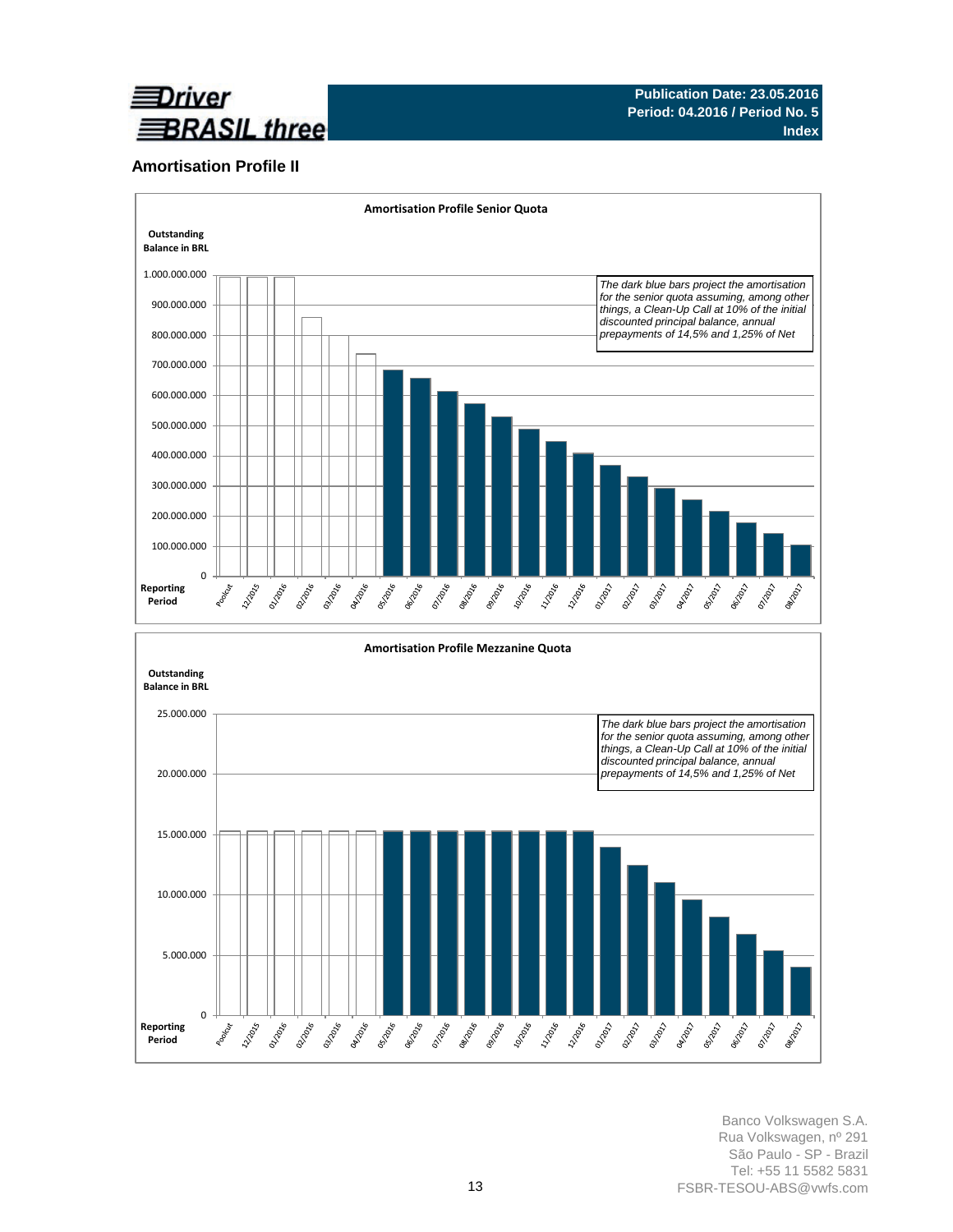

### **Amortisation Profile II**



10.000.000 5.000.000 **Burney** ORIGINAL OVER **BISTION ISLANDS** Journal R - 11/2016 0 **PINDAG Manufacture PARADISTICS BRANCE PATROL VS TON BOOM BURNER MARITAGE ONTROVER Madage** ozoote OSTRON BS2021 Poolicut 02/12/21 **Barrows Reporting Period**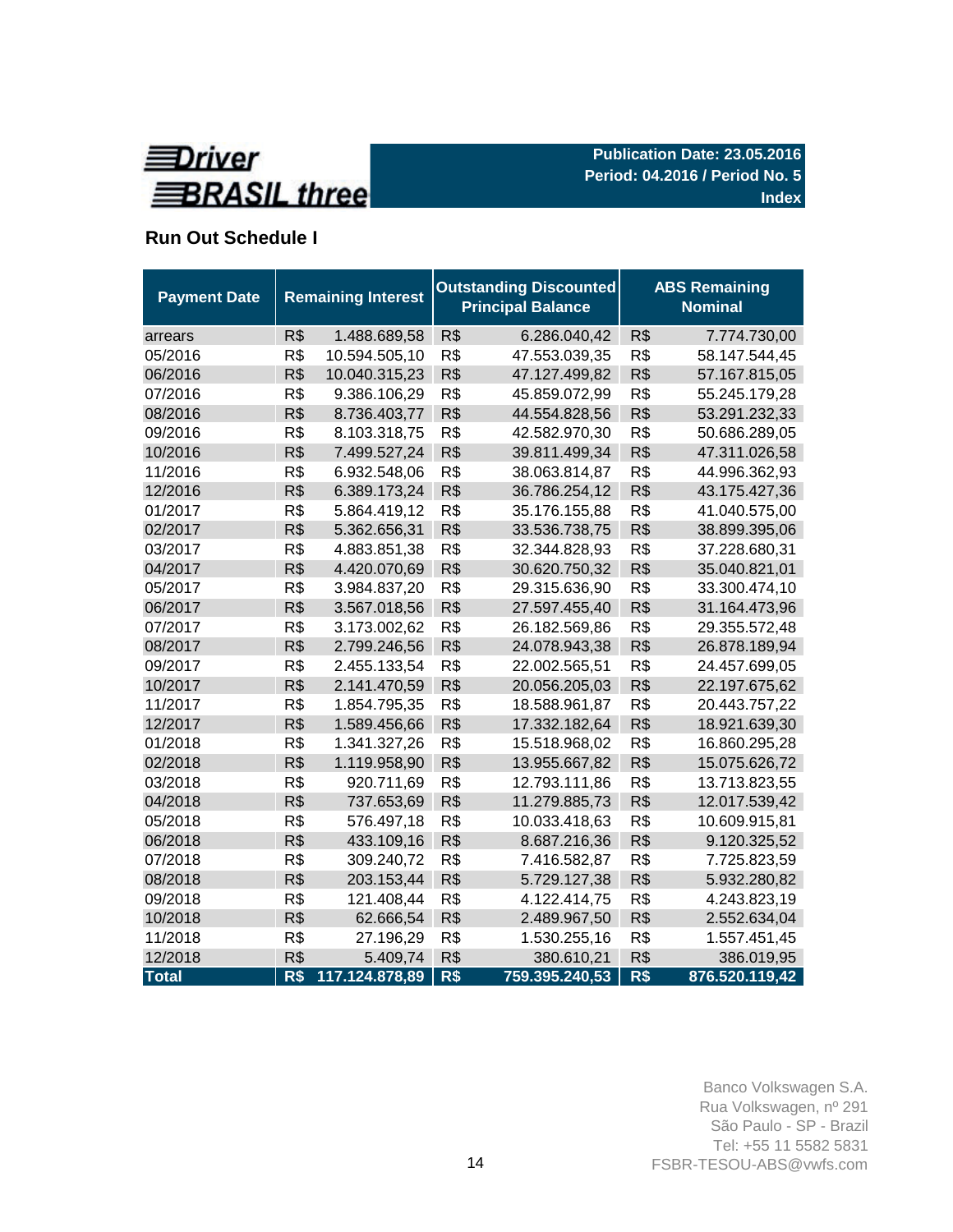

# **Run Out Schedule I**

| <b>Payment Date</b> | <b>Remaining Interest</b> |                |     | <b>Outstanding Discounted</b><br><b>Principal Balance</b> | <b>ABS Remaining</b><br><b>Nominal</b> |                |  |  |
|---------------------|---------------------------|----------------|-----|-----------------------------------------------------------|----------------------------------------|----------------|--|--|
| arrears             | R\$                       | 1.488.689,58   | R\$ | 6.286.040,42                                              | R\$                                    | 7.774.730,00   |  |  |
| 05/2016             | R\$                       | 10.594.505,10  | R\$ | 47.553.039,35                                             | R\$                                    | 58.147.544,45  |  |  |
| 06/2016             | R\$                       | 10.040.315,23  | R\$ | 47.127.499,82                                             | R\$                                    | 57.167.815,05  |  |  |
| 07/2016             | R\$                       | 9.386.106,29   | R\$ | 45.859.072,99                                             | R\$                                    | 55.245.179,28  |  |  |
| 08/2016             | R\$                       | 8.736.403,77   | R\$ | 44.554.828,56                                             | R\$                                    | 53.291.232,33  |  |  |
| 09/2016             | R\$                       | 8.103.318,75   | R\$ | 42.582.970,30                                             | R\$                                    | 50.686.289,05  |  |  |
| 10/2016             | R\$                       | 7.499.527,24   | R\$ | 39.811.499,34                                             | R\$                                    | 47.311.026,58  |  |  |
| 11/2016             | R\$                       | 6.932.548,06   | R\$ | 38.063.814,87                                             | R\$                                    | 44.996.362,93  |  |  |
| 12/2016             | R\$                       | 6.389.173,24   | R\$ | 36.786.254,12                                             | R\$                                    | 43.175.427,36  |  |  |
| 01/2017             | R\$                       | 5.864.419,12   | R\$ | 35.176.155,88                                             | R\$                                    | 41.040.575,00  |  |  |
| 02/2017             | R\$                       | 5.362.656,31   | R\$ | 33.536.738,75                                             | R\$                                    | 38.899.395,06  |  |  |
| 03/2017             | R\$                       | 4.883.851,38   | R\$ | 32.344.828,93                                             | R\$                                    | 37.228.680,31  |  |  |
| 04/2017             | R\$                       | 4.420.070,69   | R\$ | 30.620.750,32                                             | R\$                                    | 35.040.821,01  |  |  |
| 05/2017             | R\$                       | 3.984.837,20   | R\$ | 29.315.636,90                                             | R\$                                    | 33.300.474,10  |  |  |
| 06/2017             | R\$                       | 3.567.018,56   | R\$ | 27.597.455,40                                             | R\$                                    | 31.164.473,96  |  |  |
| 07/2017             | R\$                       | 3.173.002,62   | R\$ | 26.182.569,86                                             | R\$                                    | 29.355.572,48  |  |  |
| 08/2017             | R\$                       | 2.799.246,56   | R\$ | 24.078.943,38                                             | R\$                                    | 26.878.189,94  |  |  |
| 09/2017             | R\$                       | 2.455.133,54   | R\$ | 22.002.565,51                                             | R\$                                    | 24.457.699,05  |  |  |
| 10/2017             | R\$                       | 2.141.470,59   | R\$ | 20.056.205,03                                             | R\$                                    | 22.197.675,62  |  |  |
| 11/2017             | R\$                       | 1.854.795,35   | R\$ | 18.588.961,87                                             | R\$                                    | 20.443.757,22  |  |  |
| 12/2017             | R\$                       | 1.589.456,66   | R\$ | 17.332.182,64                                             | R\$                                    | 18.921.639,30  |  |  |
| 01/2018             | R\$                       | 1.341.327,26   | R\$ | 15.518.968,02                                             | R\$                                    | 16.860.295,28  |  |  |
| 02/2018             | R\$                       | 1.119.958,90   | R\$ | 13.955.667,82                                             | R\$                                    | 15.075.626,72  |  |  |
| 03/2018             | R\$                       | 920.711,69     | R\$ | 12.793.111,86                                             | R\$                                    | 13.713.823,55  |  |  |
| 04/2018             | R\$                       | 737.653,69     | R\$ | 11.279.885,73                                             | R\$                                    | 12.017.539,42  |  |  |
| 05/2018             | R\$                       | 576.497,18     | R\$ | 10.033.418,63                                             | R\$                                    | 10.609.915,81  |  |  |
| 06/2018             | R\$                       | 433.109,16     | R\$ | 8.687.216,36                                              | R\$                                    | 9.120.325,52   |  |  |
| 07/2018             | R\$                       | 309.240,72     | R\$ | 7.416.582,87                                              | R\$                                    | 7.725.823,59   |  |  |
| 08/2018             | R\$                       | 203.153,44     | R\$ | 5.729.127,38                                              | R\$                                    | 5.932.280,82   |  |  |
| 09/2018             | R\$                       | 121.408,44     | R\$ | 4.122.414,75                                              | R\$                                    | 4.243.823,19   |  |  |
| 10/2018             | R\$                       | 62.666,54      | R\$ | 2.489.967,50                                              | R\$                                    | 2.552.634,04   |  |  |
| 11/2018             | R\$                       | 27.196,29      | R\$ | 1.530.255,16                                              | R\$                                    | 1.557.451,45   |  |  |
| 12/2018             | R\$                       | 5.409,74       | R\$ | 380.610,21                                                | R\$                                    | 386.019,95     |  |  |
| <b>Total</b>        | R\$                       | 117.124.878,89 | R\$ | 759.395.240,53                                            | R\$                                    | 876.520.119,42 |  |  |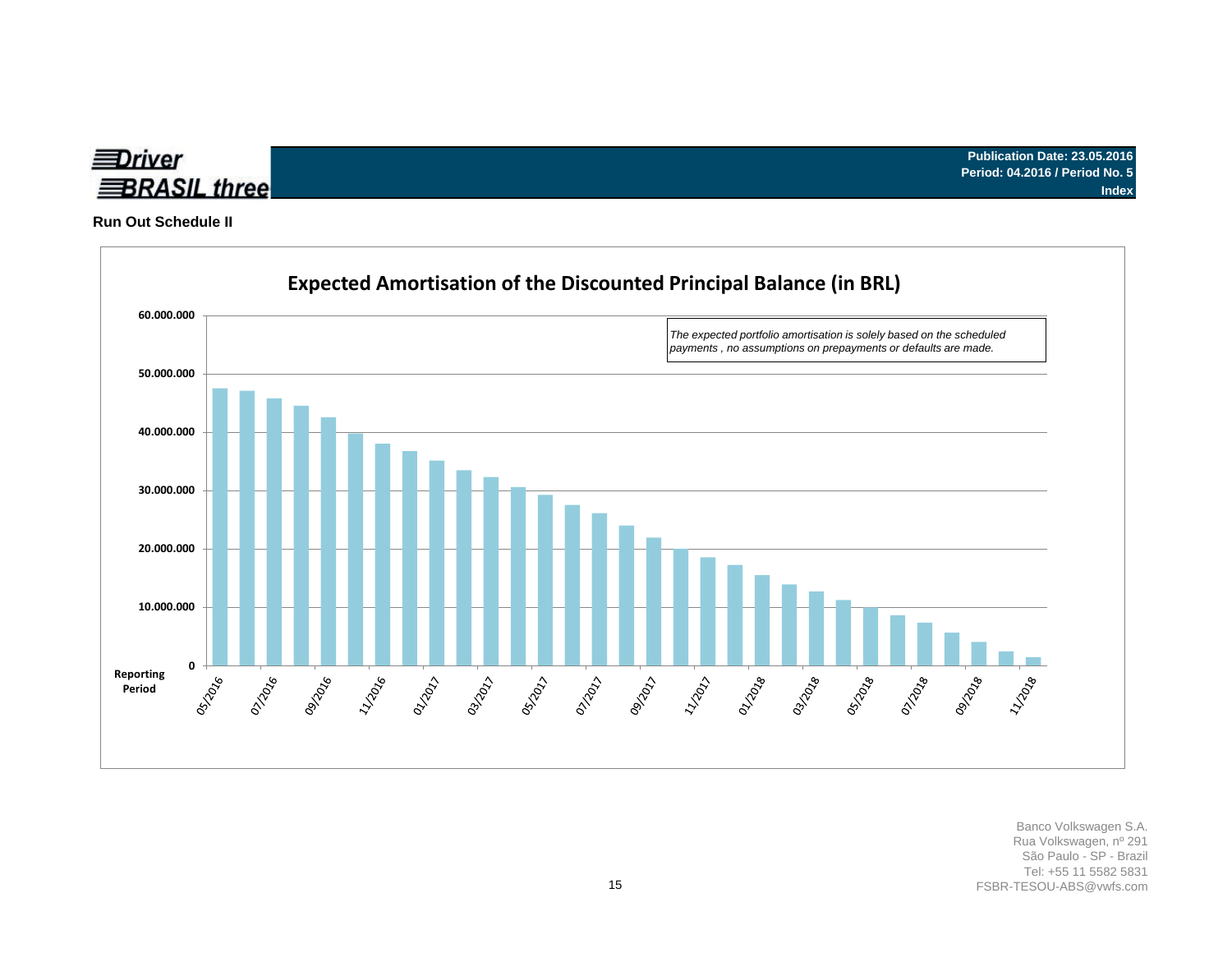

**Run Out Schedule II**

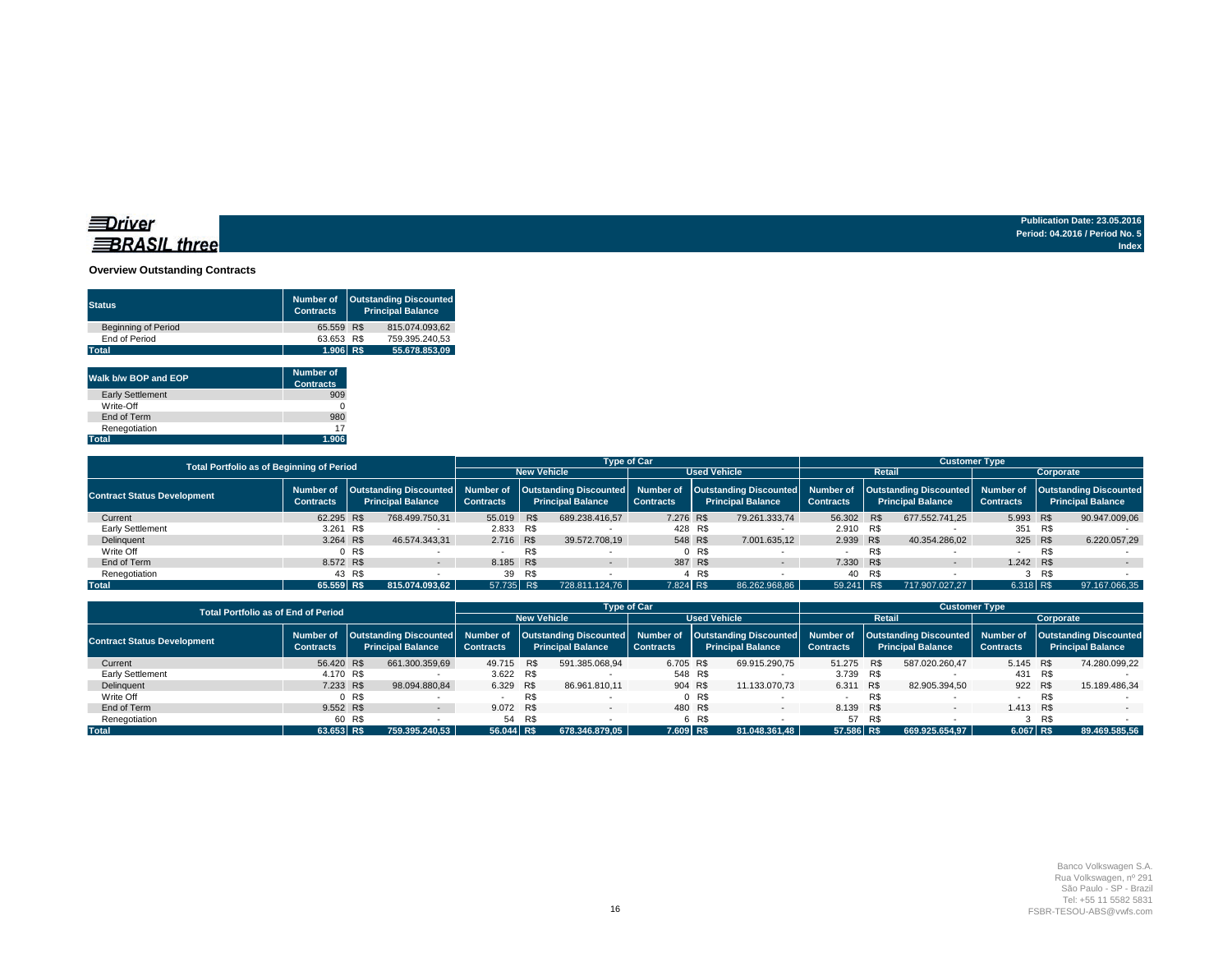#### **Overview Outstanding Contracts**

| <b>Status</b>              | Number of<br><b>Contracts</b> | <b>Outstanding Discounted</b><br><b>Principal Balance</b> |
|----------------------------|-------------------------------|-----------------------------------------------------------|
| <b>Beginning of Period</b> | 65.559 R\$                    | 815.074.093.62                                            |
| End of Period              | 63.653 R\$                    | 759.395.240.53                                            |
| <b>Total</b>               | 1.906 R\$                     | 55.678.853.09                                             |

| Walk b/w BOP and EOP    | Number of        |
|-------------------------|------------------|
|                         | <b>Contracts</b> |
| <b>Early Settlement</b> | 909              |
| Write-Off               |                  |
| End of Term             | 980              |
| Renegotiation           | 17               |
| <b>Total</b>            | 1.906            |

| <b>Total Portfolio as of Beginning of Period</b> |                                                                                                                           |                |                    |                          | <b>Type of Car</b>  |                               |                                                              | <b>Customer Type</b> |                  |                          |     |                  |                                                                                     |     |               |
|--------------------------------------------------|---------------------------------------------------------------------------------------------------------------------------|----------------|--------------------|--------------------------|---------------------|-------------------------------|--------------------------------------------------------------|----------------------|------------------|--------------------------|-----|------------------|-------------------------------------------------------------------------------------|-----|---------------|
|                                                  |                                                                                                                           |                | <b>New Vehicle</b> |                          | <b>Used Vehicle</b> |                               | Retail                                                       | Corporate            |                  |                          |     |                  |                                                                                     |     |               |
| <b>Contract Status Development</b>               | Number of   Outstanding Discounted   Number of   Outstanding Discounted  <br><b>Principal Balance</b><br><b>Contracts</b> |                | <b>Contracts</b>   | <b>Principal Balance</b> |                     | Number of<br><b>Contracts</b> | Outstanding Discounted Number of<br><b>Principal Balance</b> |                      | <b>Contracts</b> | <b>Principal Balance</b> |     | <b>Contracts</b> | Outstanding Discounted Number of Outstanding Discounted<br><b>Principal Balance</b> |     |               |
| Current                                          | 62.295 R\$                                                                                                                |                | 768.499.750.31     | 55.019 R\$               |                     | 689.238.416.57                | 7.276 R\$                                                    |                      | 79.261.333.74    | 56,302 R\$               |     | 677.552.741.25   | 5.993 R\$                                                                           |     | 90.947.009.06 |
| <b>Early Settlement</b>                          | 3.261 R\$                                                                                                                 |                |                    | 2.833 R\$                |                     |                               |                                                              | 428 R\$              |                  | 2.910 R\$                |     |                  | 351 R\$                                                                             |     |               |
| Delinguent                                       | 3.264 R\$                                                                                                                 |                | 46.574.343.31      | 2.716 R\$                |                     | 39.572.708.19                 |                                                              | 548 R\$              | 7.001.635.12     | 2.939 R\$                |     | 40.354.286.02    | 325 R\$                                                                             |     | 6.220.057.29  |
| Write Off                                        |                                                                                                                           | 0 <sub>R</sub> |                    |                          | R\$                 |                               |                                                              | 0 <sub>R</sub>       |                  |                          | R\$ |                  |                                                                                     | R\$ |               |
| End of Term                                      | 8.572 R\$                                                                                                                 |                | $-$                | 8.185 R\$                |                     |                               |                                                              | 387 R\$              | $\sim$           | 7.330 R\$                |     | $\sim$           | 1.242 R\$                                                                           |     |               |
| Renegotiation                                    |                                                                                                                           | 43 R\$         |                    | 39                       | R\$                 |                               |                                                              | R\$                  |                  | 40                       | R\$ |                  |                                                                                     | R\$ |               |
| <b>Total</b>                                     | 65.559 R\$                                                                                                                |                | 815.074.093.62     | 57.735 R\$               |                     | 728.811.124.76                | 7.824 R\$                                                    |                      | 86.262.968.86    | 59.241 R\$               |     | 717.907.027.27   | 6.318 R\$                                                                           |     | 97.167.066.35 |

|                                    | <b>Total Portfolio as of End of Period</b>                                                     |        |                    |                          |     |                  | <b>Type of Car</b>       |               |                  | <b>Customer Type</b>     |        |                  |                                                                                                                                                              |         |               |
|------------------------------------|------------------------------------------------------------------------------------------------|--------|--------------------|--------------------------|-----|------------------|--------------------------|---------------|------------------|--------------------------|--------|------------------|--------------------------------------------------------------------------------------------------------------------------------------------------------------|---------|---------------|
|                                    |                                                                                                |        | <b>New Vehicle</b> | <b>Used Vehicle</b>      |     |                  |                          | <b>Retail</b> | Corporate        |                          |        |                  |                                                                                                                                                              |         |               |
| <b>Contract Status Development</b> | Number of   Outstanding Discounted   Number of<br><b>Principal Balance</b><br><b>Contracts</b> |        | <b>Contracts</b>   | <b>Principal Balance</b> |     | <b>Contracts</b> | <b>Principal Balance</b> |               | <b>Contracts</b> | <b>Principal Balance</b> |        | <b>Contracts</b> | Outstanding Discounted  Number of  Outstanding Discounted  Number of  Outstanding Discounted  Number of  Outstanding Discounted <br><b>Principal Balance</b> |         |               |
| Current                            | 56,420 R\$                                                                                     |        | 661.300.359,69     | 49.715 R\$               |     | 591.385.068.94   | 6.705 R\$                |               | 69.915.290.75    | 51.275 R\$               |        | 587.020.260.47   | 5.145 R\$                                                                                                                                                    |         | 74.280.099.22 |
| <b>Early Settlement</b>            | 4.170 R\$                                                                                      |        |                    | 3.622 R\$                |     |                  |                          | 548 R\$       |                  | 3.739 R\$                |        |                  |                                                                                                                                                              | 431 R\$ |               |
| Delinguent                         | 7.233 R\$                                                                                      |        | 98.094.880,84      | 6.329 R\$                |     | 86.961.810.11    |                          | 904 R\$       | 11.133.070.73    | 6.311                    | R\$    | 82.905.394,50    |                                                                                                                                                              | 922 R\$ | 15.189.486,34 |
| Write Off                          |                                                                                                | 0 R\$  |                    |                          | R\$ |                  |                          | 0 R\$         |                  |                          | R\$    |                  |                                                                                                                                                              | R\$     |               |
| End of Term                        | 9.552 R\$                                                                                      |        | $\sim$             | 9.072 R\$                |     | $\sim$           |                          | 480 R\$       | $\sim$           | 8.139 R\$                |        | $\overline{a}$   | 1.413 R\$                                                                                                                                                    |         | $-$           |
| Renegotiation                      |                                                                                                | 60 R\$ |                    | 54 R\$                   |     |                  |                          | 6 R\$         |                  |                          | 57 R\$ |                  |                                                                                                                                                              | R\$     |               |
| <b>Total</b>                       | 63.653 R\$                                                                                     |        | 759.395.240.53     | 56.044 R\$               |     | 678.346.879.05   | 7.609 R\$                |               | 81.048.361.48    | 57.586 R\$               |        | 669.925.654.97   | $6.067$ R\$                                                                                                                                                  |         | 89.469.585.56 |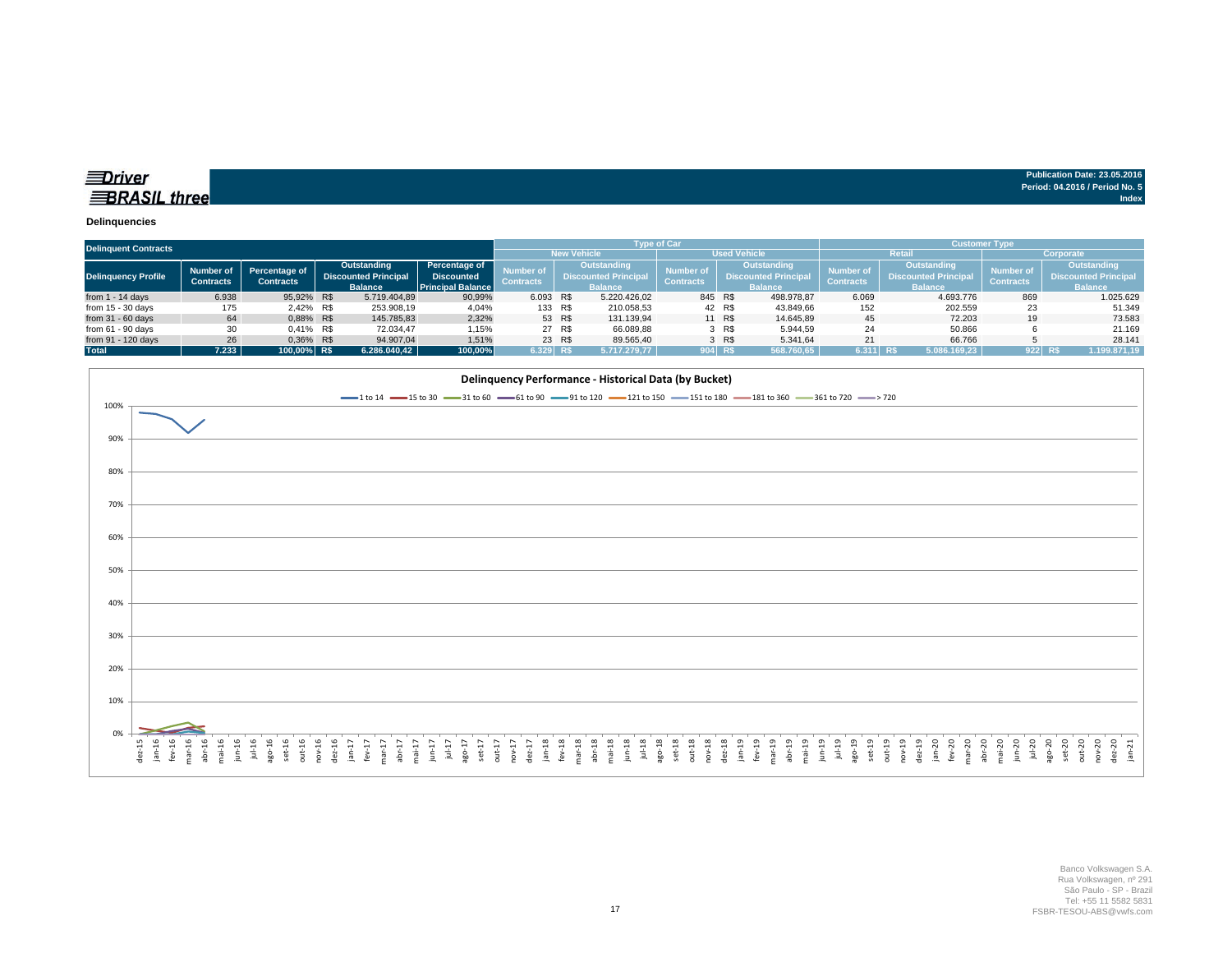| ≣Driver             | Publication Date: 23.05.2016   |
|---------------------|--------------------------------|
|                     | Period: 04.2016 / Period No. 5 |
| <b>BRASIL</b> three | Index                          |
|                     |                                |

#### **Delinquencies**

| <b>Delinquent Contracts</b> |                  |                                   |             |                             |                          |                                 |                             |                    | <b>Type of Car</b> |                |                             | <b>Customer Type</b> |                             |                  |                      |  |  |
|-----------------------------|------------------|-----------------------------------|-------------|-----------------------------|--------------------------|---------------------------------|-----------------------------|--------------------|--------------------|----------------|-----------------------------|----------------------|-----------------------------|------------------|----------------------|--|--|
|                             |                  |                                   |             |                             |                          |                                 |                             | <b>New Vehicle</b> |                    |                | <b>Used Vehicle</b>         |                      | <b>Retai</b>                | Corporate        |                      |  |  |
|                             | Number of        |                                   | Outstanding |                             | Percentage of            | Outstanding<br><b>Number of</b> |                             | <b>Number of</b>   | <b>Outstanding</b> |                | Number o                    | Outstanding          | <b>Number of</b>            | Outstanding      |                      |  |  |
| Delinquency Profile         | <b>Contracts</b> | Percentage of<br><b>Contracts</b> |             | <b>Discounted Principal</b> | <b>Discounted</b>        | <b>Contracts</b>                | <b>Discounted Principal</b> |                    | <b>Contracts</b>   |                | <b>Discounted Principal</b> | <b>Contracts</b>     | <b>Discounted Principal</b> | <b>Contracts</b> | Discounted Principal |  |  |
|                             |                  |                                   |             | <b>Balance</b>              | <b>Principal Balance</b> |                                 | <b>Balance</b>              |                    |                    | <b>Balance</b> |                             |                      | <b>Balance</b>              |                  | <b>Balance</b>       |  |  |
| from $1 - 14$ days          | 6.938            | 95.92% R\$                        |             | 5.719.404,89                | 90,99%                   | 6.093 R\$                       |                             | 5.220.426.02       | 845 R\$            |                | 498.978.87                  | 6.069                | 4.693.776                   | 869              | 1.025.629            |  |  |
| from $15 - 30$ days         | 175              | 2,42% R\$                         |             | 253.908,19                  | 4,04%                    | 133 R\$                         |                             | 210.058,53         |                    | 42 R\$         | 43.849,66                   | 152                  | 202.559                     | 23               | 51.349               |  |  |
| from $31 - 60$ days         | 64               | 0.88% R\$                         |             | 145.785,83                  | 2,32%                    |                                 | 53 R\$                      | 131.139.94         |                    | 11 R\$         | 14,645.89                   | 45                   | 72.203                      | 19               | 73.583               |  |  |
| from $61 - 90$ days         | 30               | 0,41% R\$                         |             | 72.034,47                   | 1,15%                    |                                 | 27 R\$                      | 66.089.88          |                    | 3 R\$          | 5.944.59                    | 24                   | 50.866                      |                  | 21.169               |  |  |
| from 91 - 120 days          | 26               | 0.36% R\$                         |             | 94.907.04                   | 1.51%                    |                                 | 23 R\$                      | 89.565.40          |                    | 3 R\$          | 5.341.64                    | 21                   | 66.766                      |                  | 28.141               |  |  |
| <b>Total</b>                | 7.233            | 100.00% R\$                       |             | 6.286.040.42                | 100,00%                  | 6.329 R\$                       |                             | 5.717.279.77       | 904 RS             |                | 568.760,65                  | 6.311 R\$            | 5.086.169.23                | 922 RS           | 1.199.871,19         |  |  |

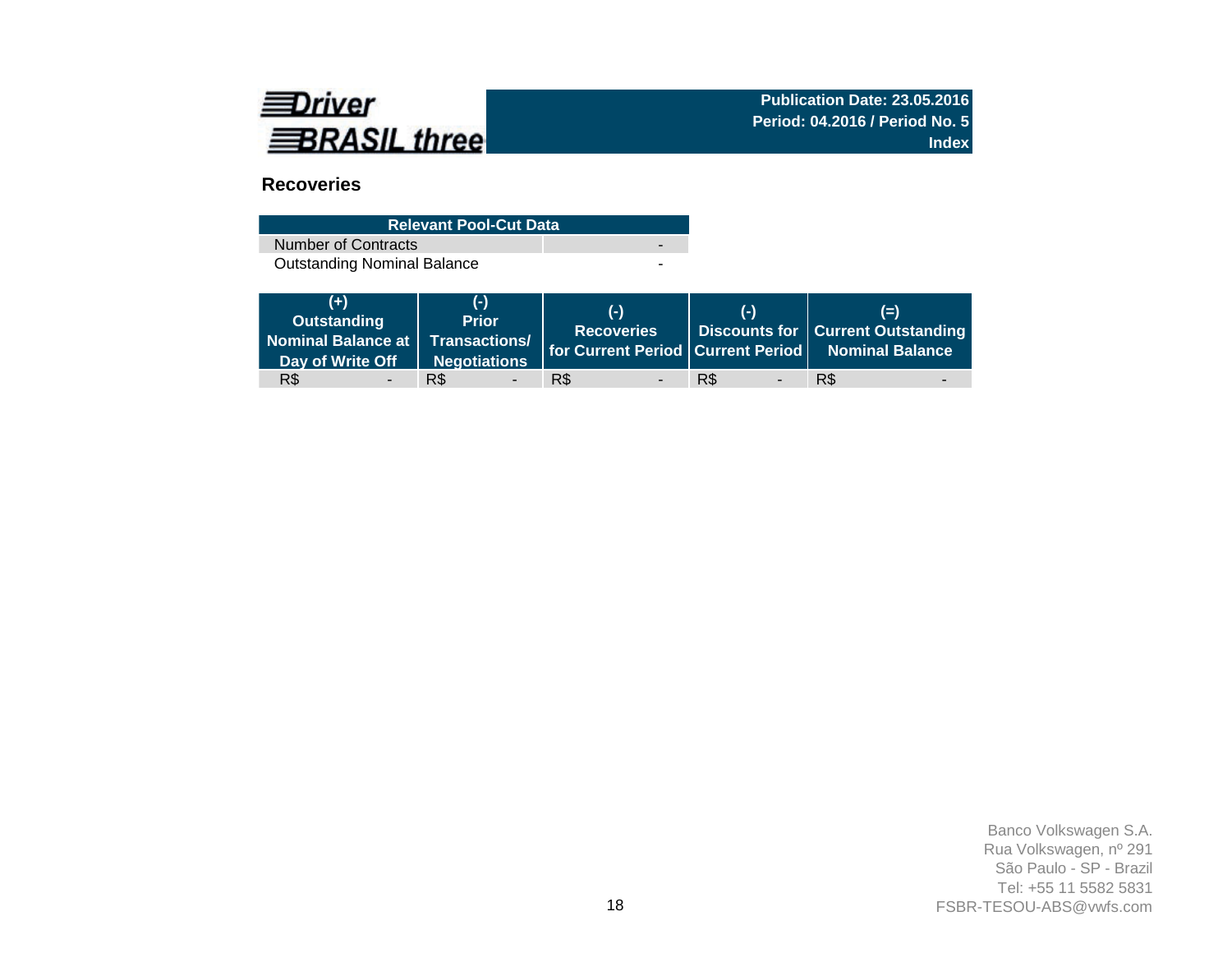

# **Recoveries**

| <b>Relevant Pool-Cut Data</b>      |   |
|------------------------------------|---|
| Number of Contracts                | - |
| <b>Outstanding Nominal Balance</b> | - |

| $(+)$<br>Outstanding<br>Nominal Balance at Transactions/<br>Day of Write Off | (-)<br><b>Prior</b><br>Negotiations | $(-)$<br><b>Recoveries</b>      | (-)                             | $(=)$<br>Discounts for   Current Outstanding<br>for Current Period Current Period Nominal Balance |
|------------------------------------------------------------------------------|-------------------------------------|---------------------------------|---------------------------------|---------------------------------------------------------------------------------------------------|
| R\$                                                                          | R\$                                 | R\$<br>$\overline{\phantom{0}}$ | R\$<br>$\overline{\phantom{a}}$ | R\$                                                                                               |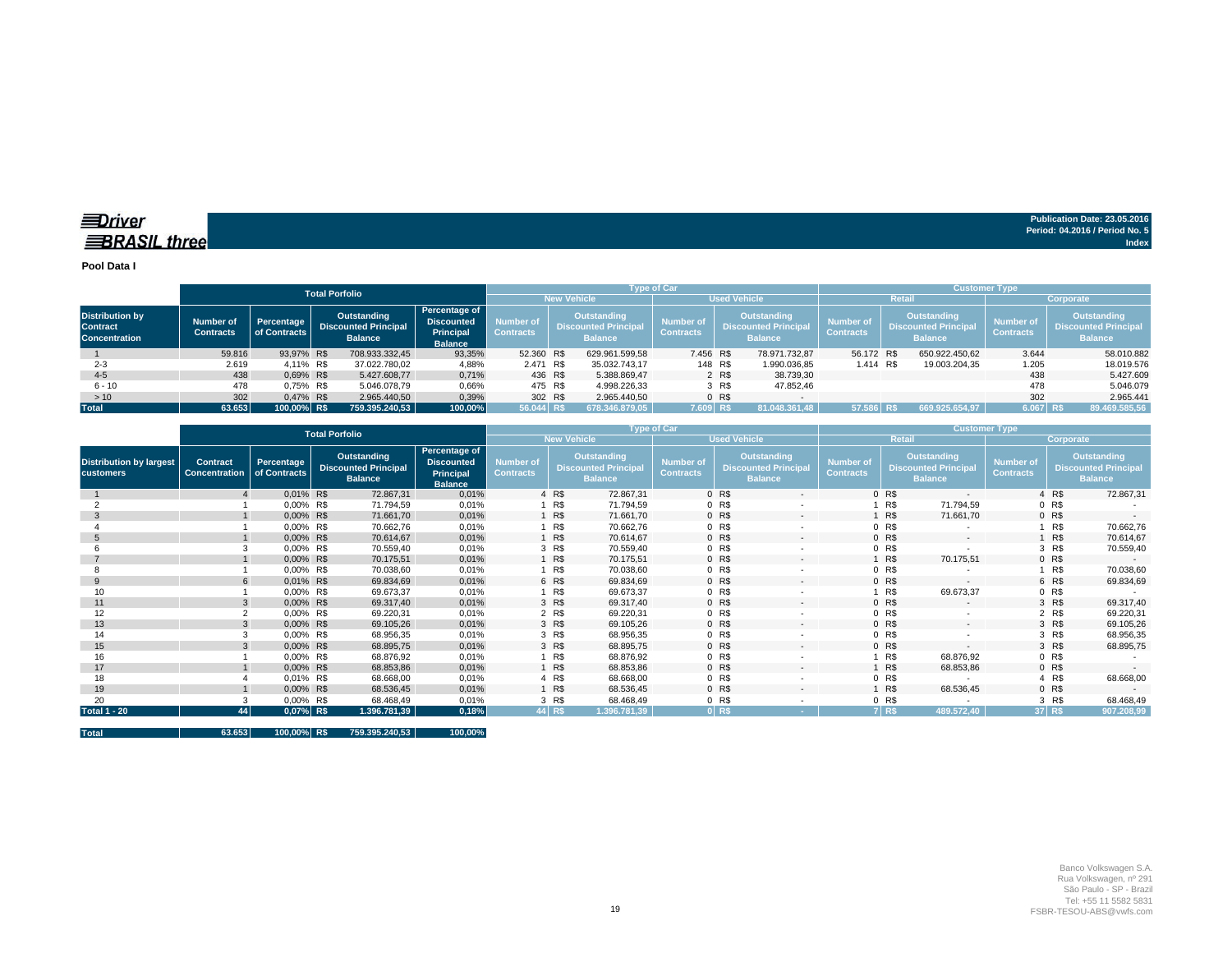**EDriver BRASIL** three

**Publication Date: 23.05.2016 Period: 04.2016 / Period No. 5 Index**

**Pool Data I**

|                                                                   |                               |                            | <b>Total Porfolio</b>                                        |                |                                                                   |                               |                                                                     |                     | <b>Type of Car</b>                   |                                                              |               | <b>Customer Type</b>                 |  |                                                                     |                                      |                                                                     |  |  |  |
|-------------------------------------------------------------------|-------------------------------|----------------------------|--------------------------------------------------------------|----------------|-------------------------------------------------------------------|-------------------------------|---------------------------------------------------------------------|---------------------|--------------------------------------|--------------------------------------------------------------|---------------|--------------------------------------|--|---------------------------------------------------------------------|--------------------------------------|---------------------------------------------------------------------|--|--|--|
|                                                                   |                               |                            |                                                              |                |                                                                   |                               | <b>New Vehicle</b>                                                  | <b>Used Vehicle</b> |                                      |                                                              |               | <b>Retail</b>                        |  | Corporate                                                           |                                      |                                                                     |  |  |  |
| <b>Distribution by</b><br><b>Contract</b><br><b>Concentration</b> | Number of<br><b>Contracts</b> | Percentage<br>of Contracts | Outstanding<br><b>Discounted Principal</b><br><b>Balance</b> |                | Percentage of<br><b>Discounted</b><br>Principal<br><b>Balance</b> | Number of<br><b>Contracts</b> | <b>Outstanding</b><br><b>Discounted Principal</b><br><b>Balance</b> |                     | <b>Number of</b><br><b>Contracts</b> | Outstanding<br><b>Discounted Principal</b><br><b>Balance</b> |               | <b>Number of</b><br><b>Contracts</b> |  | <b>Outstanding</b><br><b>Discounted Principal</b><br><b>Balance</b> | <b>Number of</b><br><b>Contracts</b> | <b>Outstanding</b><br><b>Discounted Principal</b><br><b>Balance</b> |  |  |  |
|                                                                   | 59.816                        | 93.97% R\$                 |                                                              | 708.933.332.45 | 93,35%                                                            | 52.360 R\$                    |                                                                     | 629.961.599.58      |                                      | 7.456 R\$                                                    | 78.971.732.87 | 56.172 R\$                           |  | 650.922.450.62                                                      | 3.644                                | 58.010.882                                                          |  |  |  |
| $2 - 3$                                                           | 2.619                         | 4.11% R\$                  |                                                              | 37.022.780,02  | 4,88%                                                             | 2.471 R\$                     |                                                                     | 35.032.743,17       |                                      | 148 R\$                                                      | 1.990.036,85  | 1.414 R\$                            |  | 19.003.204,35                                                       | 1.205                                | 18.019.576                                                          |  |  |  |
| $4 - 5$                                                           | 438                           | 0.69% R\$                  |                                                              | 5.427.608.77   | 0,71%                                                             | 436 R\$                       |                                                                     | 5.388.869.47        |                                      | 2 R\$                                                        | 38.739.30     |                                      |  |                                                                     | 438                                  | 5.427.609                                                           |  |  |  |
| $6 - 10$                                                          | 478                           | 0.75% R\$                  |                                                              | 5.046.078.79   | 0,66%                                                             | 475 R\$                       |                                                                     | 4.998.226,33        |                                      | 3 R\$                                                        | 47.852.46     |                                      |  |                                                                     | 478                                  | 5.046.079                                                           |  |  |  |
| >10                                                               | 302                           | 0.47% R\$                  |                                                              | 2.965.440.50   | 0,39%                                                             | 302 R\$                       |                                                                     | 2.965.440.50        |                                      | 0 <sub>R</sub>                                               |               |                                      |  |                                                                     | 302                                  | 2.965.441                                                           |  |  |  |
| <b>Total</b>                                                      | 63.653                        | 100.00% R\$                |                                                              | 759.395.240,53 | 100,00%                                                           | 56.044 R\$                    |                                                                     | 678.346.879.05      |                                      | 7.609 R\$                                                    | 81.048.361.48 | 57.586 R\$                           |  | 669.925.654.97                                                      | $6.067$ R\$                          | 89.469.585,56                                                       |  |  |  |

|                                                    |                                         |                            | <b>Total Porfolio</b>                                               |                                                                   |                                      |                                                                     |              | <b>Type of Car</b>                   |                     |                                                              | <b>Customer Type</b>                 |               |                                                              |                                      |        |                                                                     |  |
|----------------------------------------------------|-----------------------------------------|----------------------------|---------------------------------------------------------------------|-------------------------------------------------------------------|--------------------------------------|---------------------------------------------------------------------|--------------|--------------------------------------|---------------------|--------------------------------------------------------------|--------------------------------------|---------------|--------------------------------------------------------------|--------------------------------------|--------|---------------------------------------------------------------------|--|
|                                                    |                                         |                            |                                                                     |                                                                   |                                      | <b>New Vehicle</b>                                                  |              |                                      | <b>Used Vehicle</b> |                                                              |                                      | <b>Retail</b> | Corporate                                                    |                                      |        |                                                                     |  |
| <b>Distribution by largest</b><br><b>customers</b> | <b>Contract</b><br><b>Concentration</b> | Percentage<br>of Contracts | <b>Outstanding</b><br><b>Discounted Principal</b><br><b>Balance</b> | Percentage of<br><b>Discounted</b><br>Principal<br><b>Balance</b> | <b>Number of</b><br><b>Contracts</b> | <b>Outstanding</b><br><b>Discounted Principal</b><br><b>Balance</b> |              | <b>Number of</b><br><b>Contracts</b> |                     | Outstanding<br><b>Discounted Principal</b><br><b>Balance</b> | <b>Number of</b><br><b>Contracts</b> |               | Outstanding<br><b>Discounted Principal</b><br><b>Balance</b> | <b>Number of</b><br><b>Contracts</b> |        | <b>Outstanding</b><br><b>Discounted Principal</b><br><b>Balance</b> |  |
|                                                    |                                         | 0,01% R\$                  | 72.867,31                                                           | 0,01%                                                             |                                      | 4 R\$                                                               | 72.867,31    |                                      | 0 R\$               | $\sim$                                                       |                                      | 0 R\$         | $\sim$                                                       |                                      | 4 R\$  | 72.867,31                                                           |  |
|                                                    |                                         | 0,00% R\$                  | 71.794,59                                                           | 0,01%                                                             |                                      | R\$                                                                 | 71.794,59    |                                      | 0 R\$               |                                                              |                                      | R\$           | 71.794,59                                                    |                                      | 0 R\$  |                                                                     |  |
| 3                                                  |                                         | 0,00% R\$                  | 71.661,70                                                           | 0,01%                                                             |                                      | R\$                                                                 | 71.661,70    |                                      | 0 R\$               | $\sim$                                                       |                                      | 1 R\$         | 71.661,70                                                    |                                      | 0 R    |                                                                     |  |
|                                                    |                                         | 0,00% R\$                  | 70.662,76                                                           | 0,01%                                                             |                                      | R\$                                                                 | 70.662,76    |                                      | 0 R\$               |                                                              |                                      | 0 R\$         |                                                              |                                      | R\$    | 70.662,76                                                           |  |
|                                                    |                                         | 0,00% R\$                  | 70.614,67                                                           | 0,01%                                                             |                                      | R\$                                                                 | 70.614,67    |                                      | 0 R\$               |                                                              |                                      | 0 R\$         | $\sim$                                                       |                                      | R\$    | 70.614,67                                                           |  |
|                                                    |                                         | 0,00% R\$                  | 70.559,40                                                           | 0,01%                                                             |                                      | 3 R\$                                                               | 70.559,40    |                                      | 0 R\$               |                                                              |                                      | 0 R\$         |                                                              |                                      | 3 R\$  | 70.559,40                                                           |  |
|                                                    |                                         | 0,00% R\$                  | 70.175,51                                                           | 0,01%                                                             |                                      | R\$                                                                 | 70.175,51    |                                      | 0 R\$               | $\sim$                                                       |                                      | 1 R\$         | 70.175,51                                                    |                                      | 0 R    | $\sim$                                                              |  |
|                                                    |                                         | 0,00% R\$                  | 70.038,60                                                           | 0,01%                                                             |                                      | R\$                                                                 | 70.038,60    |                                      | 0 R\$               |                                                              |                                      | 0 R\$         |                                                              |                                      | R\$    | 70.038,60                                                           |  |
| 9                                                  |                                         | 0,01% R\$                  | 69.834,69                                                           | 0,01%                                                             |                                      | 6 R\$                                                               | 69.834,69    |                                      | 0 R\$               | $\sim$                                                       |                                      | 0 R\$         | $\sim$                                                       |                                      | 6 R\$  | 69.834,69                                                           |  |
| 10                                                 |                                         | 0,00% R\$                  | 69.673,37                                                           | 0,01%                                                             |                                      | R\$                                                                 | 69.673,37    |                                      | 0 R\$               |                                                              |                                      | 1 R\$         | 69.673,37                                                    |                                      | 0 R\$  |                                                                     |  |
| 11                                                 |                                         | 0,00% R\$                  | 69.317,40                                                           | 0,01%                                                             |                                      | 3 R\$                                                               | 69.317,40    |                                      | 0 R\$               | $\sim$                                                       |                                      | 0 R\$         | - -                                                          |                                      | 3 R\$  | 69.317,40                                                           |  |
| 12                                                 |                                         | 0,00% R\$                  | 69.220,31                                                           | 0,01%                                                             |                                      | 2 R\$                                                               | 69.220,31    |                                      | 0 R\$               |                                                              |                                      | 0 R\$         |                                                              |                                      | 2 R\$  | 69.220,31                                                           |  |
| 13                                                 |                                         | 0,00% R\$                  | 69.105,26                                                           | 0,01%                                                             |                                      | 3 R\$                                                               | 69.105,26    |                                      | 0 R\$               | $\sim$                                                       |                                      | 0 R\$         | $\sim$                                                       |                                      | 3 R\$  | 69.105,26                                                           |  |
| 14                                                 |                                         | 0,00% R\$                  | 68.956,35                                                           | 0,01%                                                             |                                      | 3 R\$                                                               | 68.956,35    |                                      | 0 R\$               |                                                              |                                      | 0 R\$         |                                                              |                                      | 3 R\$  | 68.956,35                                                           |  |
| 15                                                 |                                         | 0,00% R\$                  | 68.895,75                                                           | 0,01%                                                             |                                      | 3 R\$                                                               | 68.895,75    |                                      | 0 R\$               | $\sim$                                                       |                                      | 0 R\$         | $\sim$                                                       |                                      | 3 R\$  | 68.895,75                                                           |  |
| 16                                                 |                                         | 0,00% R\$                  | 68.876,92                                                           | 0,01%                                                             |                                      | R\$                                                                 | 68.876,92    |                                      | 0 R\$               |                                                              |                                      | R\$           | 68.876,92                                                    |                                      | 0 R\$  |                                                                     |  |
| 17                                                 |                                         | 0,00% R\$                  | 68.853,86                                                           | 0,01%                                                             |                                      | R\$                                                                 | 68.853,86    |                                      | 0 R\$               | $\sim$                                                       |                                      | 1 R\$         | 68.853,86                                                    |                                      | 0 R\$  |                                                                     |  |
| 18                                                 |                                         | 0,01% R\$                  | 68.668,00                                                           | 0,01%                                                             |                                      | 4 R\$                                                               | 68.668,00    |                                      | 0 R\$               |                                                              |                                      | 0 R\$         |                                                              |                                      | 4 R\$  | 68.668,00                                                           |  |
| 19                                                 |                                         | 0,00% R\$                  | 68.536,45                                                           | 0,01%                                                             |                                      | R\$                                                                 | 68.536,45    |                                      | 0 R\$               | $\sim$                                                       |                                      | R\$           | 68.536,45                                                    |                                      | 0 R\$  | $\sim$                                                              |  |
| 20                                                 |                                         | 0,00% R\$                  | 68.468,49                                                           | 0,01%                                                             |                                      | 3 R\$                                                               | 68.468,49    |                                      | 0 R\$               |                                                              |                                      | 0 R\$         |                                                              |                                      | 3 R\$  | 68.468,49                                                           |  |
| <b>Total 1 - 20</b>                                | 44                                      | $0,07%$ R\$                | 1.396.781,39                                                        | 0,18%                                                             |                                      | 44 R\$                                                              | 1.396.781,39 |                                      | 0 RS                |                                                              |                                      | 7 R\$         | 489.572,40                                                   |                                      | 37 R\$ | 907.208,99                                                          |  |

| Total | 63.653 | 100,00% R\$ |  | 759.395.240,53 | 100,00% |
|-------|--------|-------------|--|----------------|---------|
|-------|--------|-------------|--|----------------|---------|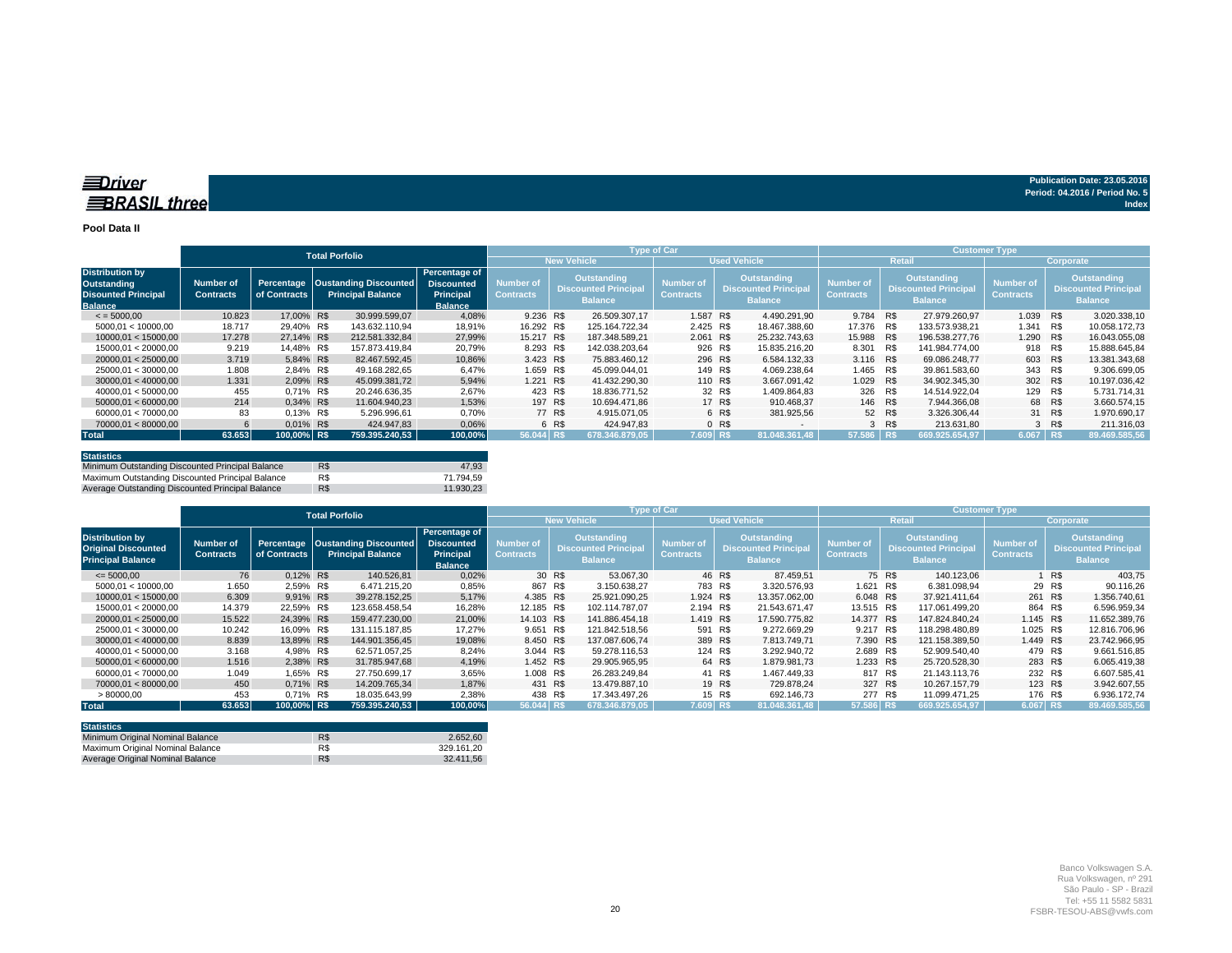#### **Pool Data II**

|                                                                                       |                               |              | <b>Total Porfolio</b>                                          |                                                                          |                                      |                                                                     |                    | Type of Car                                                                                                                                                                                                         |         |                     | <b>Customer Type</b> |        |                |                                      |           |                                                              |  |
|---------------------------------------------------------------------------------------|-------------------------------|--------------|----------------------------------------------------------------|--------------------------------------------------------------------------|--------------------------------------|---------------------------------------------------------------------|--------------------|---------------------------------------------------------------------------------------------------------------------------------------------------------------------------------------------------------------------|---------|---------------------|----------------------|--------|----------------|--------------------------------------|-----------|--------------------------------------------------------------|--|
|                                                                                       |                               |              |                                                                |                                                                          |                                      |                                                                     | <b>New Vehicle</b> |                                                                                                                                                                                                                     |         | <b>Used Vehicle</b> | Retail               |        |                |                                      | Corporate |                                                              |  |
| <b>Distribution by</b><br>Outstanding<br><b>Disounted Principal</b><br><b>Balance</b> | Number of<br><b>Contracts</b> | of Contracts | Percentage   Oustanding Discounted<br><b>Principal Balance</b> | Percentage of<br><b>Discounted</b><br><b>Principal</b><br><b>Balance</b> | <b>Number of</b><br><b>Contracts</b> | <b>Outstanding</b><br><b>Discounted Principal</b><br><b>Balance</b> |                    | Outstanding<br><b>Outstanding</b><br><b>Number of</b><br><b>Number of</b><br><b>Discounted Principal</b><br><b>Discounted Principal</b><br><b>Contracts</b><br><b>Contracts</b><br><b>Balance</b><br><b>Balance</b> |         |                     |                      |        |                | <b>Number of</b><br><b>Contracts</b> |           | Outstanding<br><b>Discounted Principal</b><br><b>Balance</b> |  |
| $\le$ = 5000.00                                                                       | 10.823                        | 17.00% R\$   | 30.999.599.07                                                  | 4,08%                                                                    | 9.236 R\$                            |                                                                     | 26.509.307.17      | 1.587 R\$                                                                                                                                                                                                           |         | 4.490.291.90        | 9.784 R\$            |        | 27.979.260.97  | 1.039                                | R\$       | 3.020.338.10                                                 |  |
| 5000,01 < 10000,00                                                                    | 18.717                        | 29.40% R\$   | 143.632.110.94                                                 | 18,91%                                                                   | 16.292 R\$                           |                                                                     | 125.164.722.34     | 2.425 R\$                                                                                                                                                                                                           |         | 18.467.388.60       | 17.376               | R\$    | 133.573.938.21 | 1.341                                | R\$       | 10.058.172,73                                                |  |
| 10000.01 < 15000.00                                                                   | 17.278                        | 27.14% R\$   | 212.581.332.84                                                 | 27.99%                                                                   | 15.217 R\$                           |                                                                     | 187.348.589.21     | 2.061 R\$                                                                                                                                                                                                           |         | 25.232.743.63       | 15.988 R\$           |        | 196.538.277.76 | 1.290                                | R\$       | 16.043.055.08                                                |  |
| 15000.01 < 20000.00                                                                   | 9.219                         | 14.48% R\$   | 157.873.419.84                                                 | 20,79%                                                                   | 8.293 R\$                            |                                                                     | 142.038.203.64     | 926 R\$                                                                                                                                                                                                             |         | 15.835.216.20       | 8.301                | R\$    | 141.984.774.00 | 918                                  | R\$       | 15.888.645.84                                                |  |
| 20000.01 < 25000.00                                                                   | 3.719                         | 5.84% R\$    | 82.467.592.45                                                  | 10.86%                                                                   | 3.423 R\$                            |                                                                     | 75.883.460.12      |                                                                                                                                                                                                                     | 296 R\$ | 6.584.132.33        | 3.116 R\$            |        | 69.086.248.77  | 603                                  | R\$       | 13.381.343.68                                                |  |
| 25000.01 < 30000.00                                                                   | 1.808                         | 2.84% R\$    | 49.168.282.65                                                  | 6,47%                                                                    | 1.659 R\$                            |                                                                     | 45.099.044.01      |                                                                                                                                                                                                                     | 149 R\$ | 4.069.238.64        | 1.465                | R\$    | 39.861.583.60  | 343                                  | R\$       | 9.306.699.05                                                 |  |
| 30000.01 < 40000.00                                                                   | 1.331                         | 2.09% R\$    | 45.099.381.72                                                  | 5,94%                                                                    | 1.221 R\$                            |                                                                     | 41.432.290.30      |                                                                                                                                                                                                                     | 110 R\$ | 3.667.091.42        | 1.029 R\$            |        | 34.902.345.30  | 302 R\$                              |           | 10.197.036.42                                                |  |
| 40000.01 < 50000.00                                                                   | 455                           | 0.71% R\$    | 20.246.636.35                                                  | 2,67%                                                                    | 423 R\$                              |                                                                     | 18.836.771.52      |                                                                                                                                                                                                                     | 32 R\$  | 1.409.864.83        | 326 R\$              |        | 14.514.922.04  | 129                                  | R\$       | 5.731.714.31                                                 |  |
| 50000.01 < 60000.00                                                                   | 214                           | 0.34% R\$    | 11.604.940.23                                                  | 1,53%                                                                    | 197 R\$                              |                                                                     | 10.694.471.86      |                                                                                                                                                                                                                     | 17 R\$  | 910.468.37          | 146 R\$              |        | 7.944.366.08   | 68 R\$                               |           | 3.660.574,15                                                 |  |
| 60000.01 < 70000.00                                                                   | 83                            | 0.13% R\$    | 5.296.996.61                                                   | 0.70%                                                                    |                                      | 77 R\$                                                              | 4.915.071.05       |                                                                                                                                                                                                                     | 6 R\$   | 381.925.56          |                      | 52 R\$ | 3.326.306.44   |                                      | 31 R\$    | 1.970.690,17                                                 |  |
| 70000.01 < 80000.00                                                                   |                               | 0.01% R\$    | 424.947.83                                                     | 0,06%                                                                    |                                      | 6 R\$                                                               | 424.947.83         |                                                                                                                                                                                                                     | 0 R     | $\overline{a}$      |                      | 3 R\$  | 213.631.80     |                                      | 3 R\$     | 211.316,03                                                   |  |
| <b>Total</b>                                                                          | 63.653                        | 100.00% R\$  | 759.395.240.53                                                 | 100.00%                                                                  | 56.044 RS                            |                                                                     | 678.346.879.05     | 7.609 R\$                                                                                                                                                                                                           |         | 81.048.361          | 57.586               |        | 669.925.654.97 | 6.067 R\$                            |           | 89.469.585.56                                                |  |

| <b>Statistics</b>                                |     |           |
|--------------------------------------------------|-----|-----------|
| Minimum Outstanding Discounted Principal Balance | R\$ | 47.93     |
| Maximum Outstanding Discounted Principal Balance | R\$ | 71.794.59 |
| Average Outstanding Discounted Principal Balance | R\$ | 11.930.23 |

|                                                                                  |                               |              | <b>Total Porfolio</b>                                          |                                                                          |                               |                                                              |                    | <b>Type of Car</b>                   |                                                              |               | Customer Type,                       |        |                                                                     |                                      |        |                                                                     |  |
|----------------------------------------------------------------------------------|-------------------------------|--------------|----------------------------------------------------------------|--------------------------------------------------------------------------|-------------------------------|--------------------------------------------------------------|--------------------|--------------------------------------|--------------------------------------------------------------|---------------|--------------------------------------|--------|---------------------------------------------------------------------|--------------------------------------|--------|---------------------------------------------------------------------|--|
|                                                                                  |                               |              |                                                                |                                                                          |                               |                                                              | <b>New Vehicle</b> | <b>Used Vehicle</b>                  |                                                              |               |                                      | Retail | Corporate                                                           |                                      |        |                                                                     |  |
| <b>Distribution by</b><br><b>Original Discounted</b><br><b>Principal Balance</b> | Number of<br><b>Contracts</b> | of Contracts | Percentage   Oustanding Discounted<br><b>Principal Balance</b> | Percentage of<br><b>Discounted</b><br><b>Principal</b><br><b>Balance</b> | <b>Number of</b><br>Contracts | Outstanding<br><b>Discounted Principal</b><br><b>Balance</b> |                    | <b>Number of</b><br><b>Contracts</b> | Outstanding<br><b>Discounted Principal</b><br><b>Balance</b> |               | <b>Number of</b><br><b>Contracts</b> |        | <b>Outstanding</b><br><b>Discounted Principal</b><br><b>Balance</b> | <b>Number of</b><br><b>Contracts</b> |        | <b>Outstanding</b><br><b>Discounted Principal</b><br><b>Balance</b> |  |
| $\leq 5000,00$                                                                   | 76                            | 0,12% R\$    | 140.526,81                                                     | 0,02%                                                                    |                               | 30 R\$                                                       | 53.067,30          |                                      | 46 R\$                                                       | 87.459,51     |                                      | 75 R\$ | 140.123,06                                                          |                                      | 1 R\$  | 403,75                                                              |  |
| 5000,01 < 10000,00                                                               | 1.650                         | 2,59% R\$    | 6.471.215,20                                                   | 0,85%                                                                    | 867 R\$                       |                                                              | 3.150.638,27       | 783 R\$                              |                                                              | 3.320.576,93  | 1.621 R\$                            |        | 6.381.098,94                                                        |                                      | 29 R\$ | 90.116,26                                                           |  |
| 10000.01 < 15000.00                                                              | 6.309                         | 9,91% R\$    | 39.278.152,25                                                  | 5,17%                                                                    | 4.385 R\$                     |                                                              | 25.921.090,25      | 1.924 R\$                            |                                                              | 13.357.062,00 | 6.048 R\$                            |        | 37.921.411.64                                                       | 261 R\$                              |        | 1.356.740,61                                                        |  |
| 15000.01 < 20000.00                                                              | 14.379                        | 22.59% R\$   | 123.658.458,54                                                 | 16,28%                                                                   | 12.185 R\$                    |                                                              | 102.114.787.07     | 2.194 R\$                            |                                                              | 21.543.671.47 | 13.515 R\$                           |        | 117.061.499.20                                                      | 864 R\$                              |        | 6.596.959,34                                                        |  |
| 20000.01 < 25000.00                                                              | 15.522                        | 24.39% R\$   | 159.477.230.00                                                 | 21,00%                                                                   | 14.103 R\$                    |                                                              | 141.886.454.18     | 1.419 R\$                            |                                                              | 17.590.775.82 | 14.377 R\$                           |        | 147.824.840.24                                                      | 1.145 R\$                            |        | 11.652.389,76                                                       |  |
| 25000.01 < 30000.00                                                              | 10.242                        | 16.09% R\$   | 131.115.187.85                                                 | 17,27%                                                                   | 9.651 R\$                     |                                                              | 121.842.518.56     | 591 R\$                              |                                                              | 9.272.669.29  | 9.217 R\$                            |        | 118.298.480.89                                                      | 1.025 R\$                            |        | 12.816.706.96                                                       |  |
| 30000.01 < 40000.00                                                              | 8.839                         | 13.89% R\$   | 144.901.356.45                                                 | 19,08%                                                                   | 8.450 R\$                     |                                                              | 137.087.606.74     | 389 R\$                              |                                                              | 7.813.749.71  | 7.390 R\$                            |        | 121.158.389.50                                                      | 1.449 R\$                            |        | 23.742.966.95                                                       |  |
| 40000.01 < 50000.00                                                              | 3.168                         | 4.98% R\$    | 62.571.057.25                                                  | 8,24%                                                                    | 3.044 R\$                     |                                                              | 59.278.116.53      | 124 R\$                              |                                                              | 3.292.940.72  | 2.689 R\$                            |        | 52.909.540.40                                                       | 479 R\$                              |        | 9.661.516.85                                                        |  |
| 50000.01 < 60000.00                                                              | 1.516                         | 2.38% R\$    | 31.785.947.68                                                  | 4,19%                                                                    | 1.452 R\$                     |                                                              | 29.905.965.95      |                                      | 64 R\$                                                       | 1.879.981.73  | 1.233 R\$                            |        | 25.720.528.30                                                       | 283 R\$                              |        | 6.065.419.38                                                        |  |
| 60000.01 < 70000.00                                                              | 1.049                         | 1.65% R\$    | 27.750.699.17                                                  | 3,65%                                                                    | 1.008 R\$                     |                                                              | 26.283.249.84      |                                      | 41 R\$                                                       | 1.467.449.33  | 817 R\$                              |        | 21.143.113.76                                                       | 232 R\$                              |        | 6.607.585,41                                                        |  |
| 70000.01 < 80000.00                                                              | 450                           | 0.71% R\$    | 14.209.765.34                                                  | 1.87%                                                                    | 431 R\$                       |                                                              | 13.479.887.10      |                                      | 19 R\$                                                       | 729.878.24    | 327 R\$                              |        | 10.267.157.79                                                       | 123 R\$                              |        | 3.942.607,55                                                        |  |
| >80000,00                                                                        | 453                           | 0.71% R\$    | 18.035.643.99                                                  | 2,38%                                                                    | 438 R\$                       |                                                              | 17.343.497.26      |                                      | 15 R\$                                                       | 692.146.73    | 277 R\$                              |        | 11.099.471.25                                                       | 176 R\$                              |        | 6.936.172.74                                                        |  |
| <b>Total</b>                                                                     | 63.653                        | 100,00% R\$  | 759.395.240.53                                                 | 100,00%                                                                  | 56.044 R\$                    |                                                              | 678.346.879.05     | 7.609 RS                             |                                                              | 81.048.361.48 | 57.586 R\$                           |        | 669.925.654.97                                                      | 6.067 R\$                            |        | 89.469.585,56                                                       |  |

| <b>Statistics</b>                |     |            |
|----------------------------------|-----|------------|
| Minimum Original Nominal Balance | R\$ | 2.652.60   |
| Maximum Original Nominal Balance | R\$ | 329.161.20 |
| Average Original Nominal Balance | R\$ | 32.411.56  |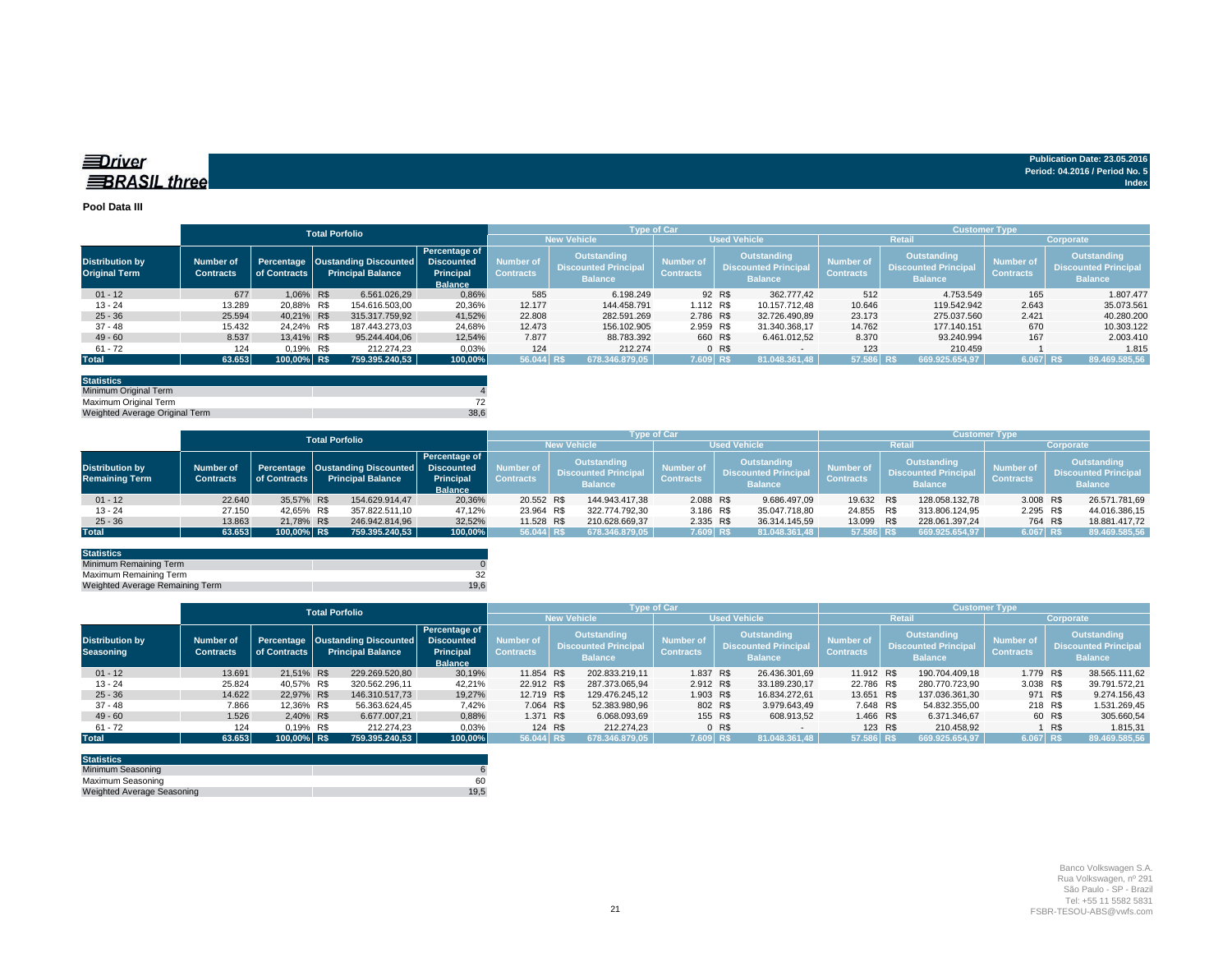| <b>EDriver</b>      | Publication Date: 23.05.2016   |
|---------------------|--------------------------------|
|                     | Period: 04.2016 / Period No. 5 |
| <b>BRASIL three</b> | Index                          |
|                     |                                |

#### **Pool Data III**

|                                                |                                      |                            | <b>Total Porfolio</b>                                               |                                                     |                               |                                                              | <b>Type of Car</b>            |         |                                                                     | <b>Customer Type</b>          |                                                                     |                                      |                                                              |  |  |  |  |
|------------------------------------------------|--------------------------------------|----------------------------|---------------------------------------------------------------------|-----------------------------------------------------|-------------------------------|--------------------------------------------------------------|-------------------------------|---------|---------------------------------------------------------------------|-------------------------------|---------------------------------------------------------------------|--------------------------------------|--------------------------------------------------------------|--|--|--|--|
|                                                |                                      |                            |                                                                     |                                                     |                               | <b>New Vehicle</b>                                           | <b>Used Vehicle</b>           |         |                                                                     |                               | <b>Retail</b>                                                       | Corporate                            |                                                              |  |  |  |  |
| <b>Distribution by</b><br><b>Original Term</b> | <b>Number of</b><br><b>Contracts</b> | Percentage<br>of Contracts | <b>Oustanding Discounted</b> Discounted<br><b>Principal Balance</b> | Percentage of<br><b>Principal</b><br><b>Balance</b> | Number of<br><b>Contracts</b> | Outstanding<br><b>Discounted Principal</b><br><b>Balance</b> | Number of<br><b>Contracts</b> |         | <b>Outstanding</b><br><b>Discounted Principal</b><br><b>Balance</b> | Number of<br><b>Contracts</b> | <b>Outstanding</b><br><b>Discounted Principal</b><br><b>Balance</b> | <b>Number of</b><br><b>Contracts</b> | Outstanding<br><b>Discounted Principal</b><br><b>Balance</b> |  |  |  |  |
| $01 - 12$                                      | 677                                  | 1.06% R\$                  | 6.561.026.29                                                        | 0.86%                                               | 585                           | 6.198.249                                                    |                               | 92 R\$  | 362,777,42                                                          | 512                           | 4.753.549                                                           | 165                                  | 1.807.477                                                    |  |  |  |  |
| $13 - 24$                                      | 13.289                               | 20,88% R\$                 | 154.616.503,00                                                      | 20,36%                                              | 12.177                        | 144.458.791                                                  | 1.112 R\$                     |         | 10.157.712.48                                                       | 10.646                        | 119.542.942                                                         | 2.643                                | 35.073.561                                                   |  |  |  |  |
| $25 - 36$                                      | 25.594                               | 40.21% R\$                 | 315.317.759.92                                                      | 41,52%                                              | 22.808                        | 282.591.269                                                  | 2.786 R\$                     |         | 32.726.490.89                                                       | 23.173                        | 275.037.560                                                         | 2.421                                | 40.280.200                                                   |  |  |  |  |
| $37 - 48$                                      | 15.432                               | 24.24% R\$                 | 187.443.273.03                                                      | 24.68%                                              | 12.473                        | 156.102.905                                                  | 2.959 R\$                     |         | 31.340.368.17                                                       | 14.762                        | 177.140.151                                                         | 670                                  | 10.303.122                                                   |  |  |  |  |
| $49 - 60$                                      | 8.537                                | 13.41% R\$                 | 95.244.404,06                                                       | 12,54%                                              | 7.877                         | 88.783.392                                                   | 660 R\$                       |         | 6.461.012.52                                                        | 8.370                         | 93.240.994                                                          | 167                                  | 2.003.410                                                    |  |  |  |  |
| $61 - 72$                                      | 124                                  | 0,19% R\$                  | 212.274.23                                                          | 0,03%                                               | 124                           | 212.274                                                      |                               | $0$ R\$ | $\sim$                                                              | 123                           | 210.459                                                             |                                      | 1.815                                                        |  |  |  |  |
| <b>Total</b>                                   | 63.653                               | 100,00% R\$                | 759.395.240,53                                                      | 100,00%                                             | 56.044 R\$                    | 678.346.879.05                                               | 7.609 RS                      |         | 81.048.361.48                                                       | 57.586 R\$                    | 669.925.654,97                                                      | 6.067 R\$                            | 89.469.585,56                                                |  |  |  |  |

| <b>Statistics</b>              |      |
|--------------------------------|------|
| Minimum Original Term          |      |
| Maximum Original Term          |      |
| Weighted Average Original Term | 38.6 |

|                                                 |                                      |              | <b>Total Porfolio</b> |                                                                         |                                              |                               |                                                                     | <b>Type of Car</b> |                                      |  |                                                                     | <b>Customer Type</b>          |     |                                                                     |                                      |                                                                     |               |  |
|-------------------------------------------------|--------------------------------------|--------------|-----------------------|-------------------------------------------------------------------------|----------------------------------------------|-------------------------------|---------------------------------------------------------------------|--------------------|--------------------------------------|--|---------------------------------------------------------------------|-------------------------------|-----|---------------------------------------------------------------------|--------------------------------------|---------------------------------------------------------------------|---------------|--|
|                                                 |                                      |              |                       |                                                                         |                                              |                               |                                                                     | <b>New Vehicle</b> | <b>Used Vehicle</b>                  |  |                                                                     |                               |     | Retai                                                               | Corporate                            |                                                                     |               |  |
| <b>Distribution by</b><br><b>Remaining Term</b> | <b>Number of</b><br><b>Contracts</b> | of Contracts |                       | Percentage Oustanding Discounted Discounted<br><b>Principal Balance</b> | Percentage of<br>Principal<br><b>Balance</b> | Number of<br><b>Contracts</b> | <b>Outstanding</b><br><b>Discounted Principal</b><br><b>Balance</b> |                    | <b>Number of</b><br><b>Contracts</b> |  | <b>Outstanding</b><br><b>Discounted Principal</b><br><b>Balance</b> | Number of<br><b>Contracts</b> |     | <b>Outstanding</b><br><b>Discounted Principal</b><br><b>Balance</b> | <b>Number of</b><br><b>Contracts</b> | <b>Outstanding</b><br><b>Discounted Principal</b><br><b>Balance</b> |               |  |
| $01 - 12$                                       | 22.640                               | 35.57% R\$   |                       | 154.629.914,47                                                          | 20,36%                                       | 20.552 R\$                    |                                                                     | 144.943.417,38     | 2.088 R\$                            |  | 9.686.497,09                                                        | 19.632 R\$                    |     | 128.058.132.78                                                      | 3.008 R\$                            |                                                                     | 26.571.781,69 |  |
| $13 - 24$                                       | 27.150                               | 42.65% R\$   |                       | 357.822.511.10                                                          | 47.12%                                       | 23.964 R\$                    |                                                                     | 322.774.792.30     | 3.186 R\$                            |  | 35.047.718.80                                                       | 24.855                        | R\$ | 313.806.124.95                                                      | 2.295 R\$                            |                                                                     | 44.016.386.15 |  |
| $25 - 36$                                       | 13.863                               | 21.78% R\$   |                       | 246.942.814.96                                                          | 32,52%                                       | 11.528 R\$                    |                                                                     | 210.628.669,37     | 2.335 R\$                            |  | 36.314.145,59                                                       | 13.099 R\$                    |     | 228.061.397.24                                                      | 764 R\$                              |                                                                     | 18.881.417,72 |  |
| Total                                           | 63.653                               | 100,00% R\$  |                       | 759.395.240.53                                                          | 100,00%                                      | 56.044 RS                     |                                                                     | 678.346.879.05     | 7.609 R\$                            |  | 81.048.361.48                                                       | 57.586 R\$                    |     | 669.925.654,97                                                      | 6.067 R\$                            |                                                                     | 89.469.585,56 |  |

| <b>Statistics</b>                      |      |
|----------------------------------------|------|
| Minimum Remaining Term                 |      |
| Maximum Remaining Term                 |      |
| <b>Weighted Average Remaining Term</b> | 19.6 |

|                                     |                                      | <b>Total Porfolio</b> |  |                                                                  | <b>Type of Car</b>                                                |                               |                                                              |                     |                                      |                                                                     |                          | <b>Customer Type</b>                            |           |                                            |           |                                      |               |                                                              |
|-------------------------------------|--------------------------------------|-----------------------|--|------------------------------------------------------------------|-------------------------------------------------------------------|-------------------------------|--------------------------------------------------------------|---------------------|--------------------------------------|---------------------------------------------------------------------|--------------------------|-------------------------------------------------|-----------|--------------------------------------------|-----------|--------------------------------------|---------------|--------------------------------------------------------------|
|                                     |                                      |                       |  |                                                                  |                                                                   |                               | <b>New Vehicle</b>                                           | <b>Used Vehicle</b> |                                      |                                                                     |                          | Retai                                           | Corporate |                                            |           |                                      |               |                                                              |
| <b>Distribution by</b><br>Seasoning | <b>Number of</b><br><b>Contracts</b> | of Contracts          |  | Percentage   Oustanding Discounted  <br><b>Principal Balance</b> | Percentage of<br><b>Discounted</b><br>Principal<br><b>Balance</b> | Number of<br><b>Contracts</b> | Outstanding<br><b>Discounted Principal</b><br><b>Balance</b> |                     | <b>Number of</b><br><b>Contracts</b> | <b>Outstanding</b><br><b>Discounted Principal</b><br><b>Balance</b> |                          | Number of<br><b>Contracts</b><br><b>Balance</b> |           | Outstanding<br><b>Discounted Principal</b> |           | <b>Number of</b><br><b>Contracts</b> |               | Outstanding<br><b>Discounted Principal</b><br><b>Balance</b> |
| $01 - 12$                           | 13.691                               | 21.51% R\$            |  | 229.269.520.80                                                   | 30.19%                                                            | 11.854 R\$                    |                                                              | 202.833.219.11      | 1.837 R\$                            |                                                                     | 26.436.301.69            | 11.912 R\$                                      |           | 190.704.409.18                             | 1.779 R\$ |                                      | 38.565.111,62 |                                                              |
| $13 - 24$                           | 25.824                               | 40.57% R\$            |  | 320.562.296.11                                                   | 42.21%                                                            | 22.912 R\$                    |                                                              | 287.373.065.94      | 2.912 R\$                            |                                                                     | 33.189.230,17            | 22,786 R\$                                      |           | 280.770.723.90                             | 3.038 R\$ |                                      | 39.791.572,21 |                                                              |
| $25 - 36$                           | 14.622                               | 22.97% R\$            |  | 146.310.517,73                                                   | 19,27%                                                            | 12.719 R\$                    |                                                              | 129.476.245,12      | 1.903 R\$                            |                                                                     | 16.834.272.61            | 13.651 R\$                                      |           | 137.036.361.30                             | 971 R\$   |                                      | 9.274.156,43  |                                                              |
| $37 - 48$                           | 7.866                                | 12.36% R\$            |  | 56.363.624.45                                                    | 7,42%                                                             | 7.064 R\$                     |                                                              | 52.383.980.96       | 802 R\$                              |                                                                     | 3.979.643.49             | 7.648 R\$                                       |           | 54.832.355.00                              | 218 R\$   |                                      | 1.531.269,45  |                                                              |
| $49 - 60$                           | 1.526                                | 2.40% R\$             |  | 6.677.007.21                                                     | 0,88%                                                             | 1.371 R\$                     |                                                              | 6.068.093,69        | 155 R\$                              |                                                                     | 608.913,52               | 1.466 R\$                                       |           | 6.371.346,67                               |           | 60 R\$                               | 305.660,54    |                                                              |
| $61 - 72$                           | 124                                  | 0.19% R\$             |  | 212.274.23                                                       | 0,03%                                                             | 124 R\$                       |                                                              | 212.274.23          |                                      | 0 <sub>R</sub>                                                      | $\overline{\phantom{a}}$ | 123 R\$                                         |           | 210.458.92                                 |           | 1 R\$                                | 1.815,31      |                                                              |
| <b>Total</b>                        | 63.653                               | 100.00% R\$           |  | 759.395.240.53                                                   | 100.00%                                                           | 56.044 R\$                    |                                                              | 678.346.879.05      | 7.609 R\$                            |                                                                     | 81.048.361.48            | 57.586 R\$'                                     |           | 669.925.654.97                             | 6.067 R\$ |                                      | 89.469.585,56 |                                                              |

| <b>Statistics</b>                 |      |
|-----------------------------------|------|
| Minimum Seasoning                 |      |
| Maximum Seasoning                 | 60   |
| <b>Weighted Average Seasoning</b> | 19.5 |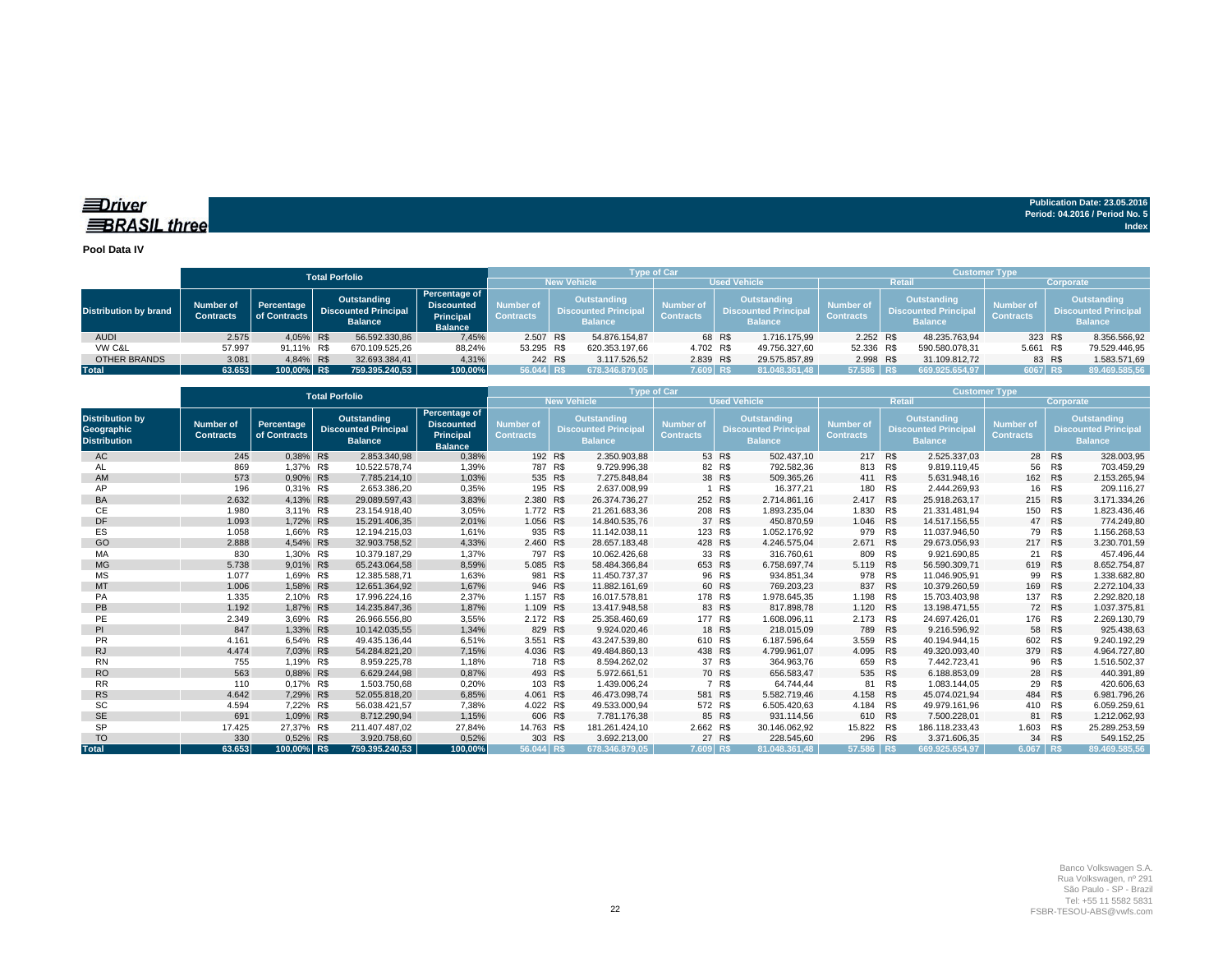### *<u>IDriver</u>* **BRASIL** three

**Publication Date: 23.05.2016 Period: 04.2016 / Period No. 5 Index**

#### **Pool Data IV**

|                              |                               |                            |                                                              |                                                                          |                               | <b>Type of Car</b>                                                 |                |                               | <b>Customer Type</b>                                        |               |                                      |                                                                     |                |                                      |        |                                                                     |
|------------------------------|-------------------------------|----------------------------|--------------------------------------------------------------|--------------------------------------------------------------------------|-------------------------------|--------------------------------------------------------------------|----------------|-------------------------------|-------------------------------------------------------------|---------------|--------------------------------------|---------------------------------------------------------------------|----------------|--------------------------------------|--------|---------------------------------------------------------------------|
|                              |                               |                            |                                                              | <b>New Vehicle</b>                                                       | <b>Used Vehicle</b>           |                                                                    |                |                               | Retail                                                      | Corporate     |                                      |                                                                     |                |                                      |        |                                                                     |
| <b>Distribution by brand</b> | Number of<br><b>Contracts</b> | Percentage<br>of Contracts | Outstanding<br><b>Discounted Principal</b><br><b>Balance</b> | Percentage of<br><b>Discounted</b><br><b>Principal</b><br><b>Balance</b> | Number of<br><b>Contracts</b> | <b>Outstanding</b><br><b>Discounted Principa</b><br><b>Balance</b> |                | Number of<br><b>Contracts</b> | Outstanding<br><b>Discounted Principa</b><br><b>Balance</b> |               | <b>Number of</b><br><b>Contracts</b> | <b>Outstanding</b><br><b>Discounted Principal</b><br><b>Balance</b> |                | <b>Number of</b><br><b>Contracts</b> |        | <b>Outstanding</b><br><b>Discounted Principal</b><br><b>Balance</b> |
| <b>AUDI</b>                  | 2.575                         | 4.05% R\$                  | 56.592.330,86                                                | 7.45%                                                                    | 2.507 R\$                     |                                                                    | 54.876.154.87  |                               | 68 R\$                                                      | 1.716.175.99  | 2.252 R\$                            |                                                                     | 48.235.763.94  | 323 R\$                              |        | 8.356.566,92                                                        |
| VW C&L                       | 57.997                        | 91.11% R\$                 | 670.109.525.26                                               | 88,24%                                                                   | 53.295 R\$                    |                                                                    | 620.353.197.66 | 4.702 R\$                     |                                                             | 49.756.327,60 | 52.336 R\$                           |                                                                     | 590.580.078.31 | 5.661                                | R\$    | 79.529.446,95                                                       |
| OTHER BRANDS                 | 3.081                         | 4.84% R\$                  | 32.693.384.41                                                | 4,31%                                                                    | 242 R\$                       |                                                                    | 3.117.526,52   | 2.839 R\$                     |                                                             | 29.575.857,89 | 2.998 R\$                            |                                                                     | 31.109.812,72  |                                      | 83 R\$ | 1.583.571,69                                                        |
| Total                        | 63.653                        | 100,00% R\$                | 759.395.240.53                                               | 100.00%                                                                  | 56.044 R\$                    |                                                                    | 678.346.879.05 | 7.609 RS                      |                                                             | 81.048.361.48 | 57.586 R\$                           |                                                                     | 669.925.654.97 | 6067 RS                              |        | 89.469.585,56                                                       |

|                                                                    |                                      |                            | <b>Total Porfolio</b>                                        |                                                                          |                                           |                                                                    | <b>Type of Car</b>            |                                                                     |               | <b>Customer Type</b>                 |                                                                     |                |                        |     |                                                                     |
|--------------------------------------------------------------------|--------------------------------------|----------------------------|--------------------------------------------------------------|--------------------------------------------------------------------------|-------------------------------------------|--------------------------------------------------------------------|-------------------------------|---------------------------------------------------------------------|---------------|--------------------------------------|---------------------------------------------------------------------|----------------|------------------------|-----|---------------------------------------------------------------------|
|                                                                    |                                      |                            |                                                              |                                                                          | <b>New Vehicle</b><br><b>Used Vehicle</b> |                                                                    |                               |                                                                     |               |                                      | <b>Retail</b>                                                       | Corporate      |                        |     |                                                                     |
| <b>Distribution by</b><br><b>Geographic</b><br><b>Distribution</b> | <b>Number of</b><br><b>Contracts</b> | Percentage<br>of Contracts | Outstanding<br><b>Discounted Principal</b><br><b>Balance</b> | Percentage of<br><b>Discounted</b><br><b>Principal</b><br><b>Balance</b> | Number of<br><b>Contracts</b>             | <b>Outstanding</b><br><b>Discounted Principa</b><br><b>Balance</b> | Number of<br><b>Contracts</b> | <b>Outstanding</b><br><b>Discounted Principal</b><br><b>Balance</b> |               | <b>Number of</b><br><b>Contracts</b> | <b>Outstanding</b><br><b>Discounted Principal</b><br><b>Balance</b> |                | Number of<br>Contracts |     | <b>Outstanding</b><br><b>Discounted Principal</b><br><b>Balance</b> |
| AC                                                                 | 245                                  | 0.38% R\$                  | 2.853.340,98                                                 | 0,38%                                                                    | 192 R\$                                   | 2.350.903,88                                                       |                               | 53 R\$                                                              | 502.437,10    | 217 R\$                              |                                                                     | 2.525.337.03   | 28                     | R\$ | 328.003,95                                                          |
| AL                                                                 | 869                                  | 1.37% R\$                  | 10.522.578.74                                                | 1,39%                                                                    | 787 R\$                                   | 9.729.996.38                                                       |                               | 82 R\$                                                              | 792.582.36    | 813                                  | R\$                                                                 | 9.819.119.45   | 56                     | R\$ | 703.459.29                                                          |
| AM                                                                 | 573                                  | 0.90% R\$                  | 7.785.214.10                                                 | 1,03%                                                                    | 535 R\$                                   | 7.275.848.84                                                       |                               | 38 R\$                                                              | 509.365.26    | 411 R\$                              |                                                                     | 5.631.948.16   | 162                    | R\$ | 2.153.265.94                                                        |
| AP                                                                 | 196                                  | 0,31% R\$                  | 2.653.386.20                                                 | 0,35%                                                                    | 195 R\$                                   | 2.637.008,99                                                       |                               | R\$                                                                 | 16.377.21     | 180                                  | R\$                                                                 | 2.444.269,93   | 16                     | R\$ | 209.116,27                                                          |
| <b>BA</b>                                                          | 2.632                                | 4.13% R\$                  | 29.089.597.43                                                | 3,83%                                                                    | 2.380 R\$                                 | 26.374.736.27                                                      |                               | 252 R\$                                                             | 2.714.861.16  | 2.417 R\$                            |                                                                     | 25.918.263.17  | 215                    | R\$ | 3.171.334,26                                                        |
| СE                                                                 | 1.980                                | 3,11% R\$                  | 23.154.918.40                                                | 3,05%                                                                    | 1.772 R\$                                 | 21.261.683,36                                                      |                               | 208 R\$                                                             | 1.893.235.04  | 1.830                                | R\$                                                                 | 21.331.481,94  | 150                    | R\$ | 1.823.436,46                                                        |
| <b>DF</b>                                                          | 1.093                                | 1.72% R\$                  | 15.291.406,35                                                | 2,01%                                                                    | 1.056 R\$                                 | 14.840.535,76                                                      | 37                            | R\$                                                                 | 450.870.59    | 1.046                                | <b>R\$</b>                                                          | 14.517.156.55  | 47                     | R\$ | 774.249,80                                                          |
| ES                                                                 | 1.058                                | 1.66% R\$                  | 12.194.215.03                                                | 1,61%                                                                    | 935 R\$                                   | 11.142.038,11                                                      | 123                           | R\$                                                                 | 1.052.176.92  | 979                                  | R\$                                                                 | 11.037.946.50  | 79                     | R\$ | 1.156.268,53                                                        |
| GO                                                                 | 2.888                                | 4,54% R\$                  | 32.903.758,52                                                | 4,33%                                                                    | 2.460 R\$                                 | 28.657.183,48                                                      |                               | 428 R\$                                                             | 4.246.575,04  | 2.671                                | <b>R\$</b>                                                          | 29.673.056,93  | 217                    | R\$ | 3.230.701,59                                                        |
| MA                                                                 | 830                                  | 1.30% R\$                  | 10.379.187.29                                                | 1.37%                                                                    | 797 R\$                                   | 10.062.426.68                                                      | 33                            | R\$                                                                 | 316.760.61    | 809                                  | R\$                                                                 | 9.921.690.85   | 21                     | R\$ | 457.496.44                                                          |
| <b>MG</b>                                                          | 5.738                                | 9,01% R\$                  | 65.243.064.58                                                | 8,59%                                                                    | 5.085 R\$                                 | 58.484.366.84                                                      | 653                           | R\$                                                                 | 6.758.697.74  | 5.119 R\$                            |                                                                     | 56.590.309.71  | 619                    | R\$ | 8.652.754,87                                                        |
| MS                                                                 | 1.077                                | 1.69% R\$                  | 12.385.588.71                                                | 1,63%                                                                    | 981 R\$                                   | 11.450.737.37                                                      |                               | 96 R\$                                                              | 934.851.34    | 978                                  | R\$                                                                 | 11.046.905.91  | 99                     | R\$ | 1.338.682.80                                                        |
| MT                                                                 | 1.006                                | 1.58% R\$                  | 12.651.364,92                                                | 1,67%                                                                    | 946 R\$                                   | 11.882.161.69                                                      |                               | 60 R\$                                                              | 769.203.23    | 837                                  | R\$                                                                 | 10.379.260.59  | 169                    | R\$ | 2.272.104,33                                                        |
| PA                                                                 | 1.335                                | 2.10% R\$                  | 17.996.224.16                                                | 2,37%                                                                    | 1.157 R\$                                 | 16.017.578.81                                                      |                               | 178 R\$                                                             | 1.978.645,35  | 1.198                                | R\$                                                                 | 15.703.403,98  | 137                    | R\$ | 2.292.820,18                                                        |
| <b>PB</b>                                                          | 1.192                                | 1.87% R\$                  | 14.235.847.36                                                | 1.87%                                                                    | 1.109 R\$                                 | 13.417.948.58                                                      |                               | 83 R\$                                                              | 817.898.78    | 1.120 R\$                            |                                                                     | 13.198.471.55  | 72                     | R\$ | 1.037.375,81                                                        |
| PE                                                                 | 2.349                                | 3.69% R\$                  | 26.966.556,80                                                | 3,55%                                                                    | 2.172 R\$                                 | 25.358.460,69                                                      |                               | 177 R\$                                                             | 1.608.096,11  | 2.173                                | R\$                                                                 | 24.697.426,01  | 176                    | R\$ | 2.269.130,79                                                        |
| PI                                                                 | 847                                  | 1.33% R\$                  | 10.142.035.55                                                | 1,34%                                                                    | 829 R\$                                   | 9.924.020,46                                                       |                               | 18 R\$                                                              | 218.015.09    | 789                                  | R\$                                                                 | 9.216.596.92   | 58                     | R\$ | 925.438,63                                                          |
| <b>PR</b>                                                          | 4.161                                | 6.54% R\$                  | 49.435.136.44                                                | 6,51%                                                                    | 3.551                                     | R\$<br>43.247.539.80                                               |                               | 610 R\$                                                             | 6.187.596.64  | 3.559                                | R\$                                                                 | 40.194.944.15  | 602                    | R\$ | 9.240.192.29                                                        |
| <b>RJ</b>                                                          | 4.474                                | 7.03% R\$                  | 54.284.821.20                                                | 7,15%                                                                    | 4.036 R\$                                 | 49.484.860.13                                                      |                               | 438 R\$                                                             | 4.799.961.07  | 4.095                                | R\$                                                                 | 49.320.093.40  | 379                    | R\$ | 4.964.727.80                                                        |
| <b>RN</b>                                                          | 755                                  | 1.19% R\$                  | 8.959.225.78                                                 | 1,18%                                                                    | 718 R\$                                   | 8.594.262.02                                                       |                               | 37 R\$                                                              | 364.963.76    | 659                                  | R\$                                                                 | 7.442.723.41   | 96                     | R\$ | 1.516.502,37                                                        |
| <b>RO</b>                                                          | 563                                  | 0,88% R\$                  | 6.629.244.98                                                 | 0,87%                                                                    | 493 R\$                                   | 5.972.661,51                                                       |                               | 70 R\$                                                              | 656.583.47    | 535 R\$                              |                                                                     | 6.188.853.09   | 28                     | R\$ | 440.391,89                                                          |
| <b>RR</b>                                                          | 110                                  | 0.17% R\$                  | 1.503.750.68                                                 | 0,20%                                                                    | 103 R\$                                   | 1.439.006.24                                                       | $\overline{7}$                | R\$                                                                 | 64.744.44     | 81                                   | R\$                                                                 | 1.083.144.05   | 29                     | R\$ | 420.606.63                                                          |
| <b>RS</b>                                                          | 4.642                                | 7.29% R\$                  | 52.055.818.20                                                | 6,85%                                                                    | 4.061                                     | R\$<br>46.473.098,74                                               | 581                           | R\$                                                                 | 5.582.719.46  | 4.158                                | R\$                                                                 | 45.074.021.94  | 484                    | R\$ | 6.981.796,26                                                        |
| <b>SC</b>                                                          | 4.594                                | 7.22% R\$                  | 56.038.421.57                                                | 7,38%                                                                    | 4.022 R\$                                 | 49.533.000,94                                                      |                               | 572 R\$                                                             | 6.505.420,63  | 4.184                                | R\$                                                                 | 49.979.161.96  | 410                    | R\$ | 6.059.259,61                                                        |
| <b>SE</b>                                                          | 691                                  | 1,09% R\$                  | 8.712.290,94                                                 | 1,15%                                                                    | 606 R\$                                   | 7.781.176,38                                                       |                               | 85 R\$                                                              | 931.114,56    | 610 R\$                              |                                                                     | 7.500.228,01   | 81                     | R\$ | 1.212.062,93                                                        |
| <b>SP</b>                                                          | 17.425                               | 27,37% R\$                 | 211.407.487,02                                               | 27,84%                                                                   | 14.763 R\$                                | 181.261.424,10                                                     | 2.662 R\$                     |                                                                     | 30.146.062,92 | 15.822 R\$                           |                                                                     | 186.118.233,43 | 1.603                  | R\$ | 25.289.253,59                                                       |
| <b>TO</b>                                                          | 330                                  | 0.52% R\$                  | 3.920.758.60                                                 | 0,52%                                                                    | 303 R\$                                   | 3.692.213.00                                                       |                               | 27 R\$                                                              | 228,545.60    | 296                                  | R\$                                                                 | 3.371.606.35   | 34                     | R\$ | 549.152.25                                                          |
| <b>Total</b>                                                       | 63.653                               | 100.00% R\$                | 759.395.240.53                                               | 100.00%                                                                  | 56.044 R\$                                | 678.346.879.05                                                     | 7.609 R\$                     |                                                                     | 81.048.361.48 | 57.586                               | <b>RS</b>                                                           | 669.925.654.97 | 6.067                  | R\$ | 89.469.585.56                                                       |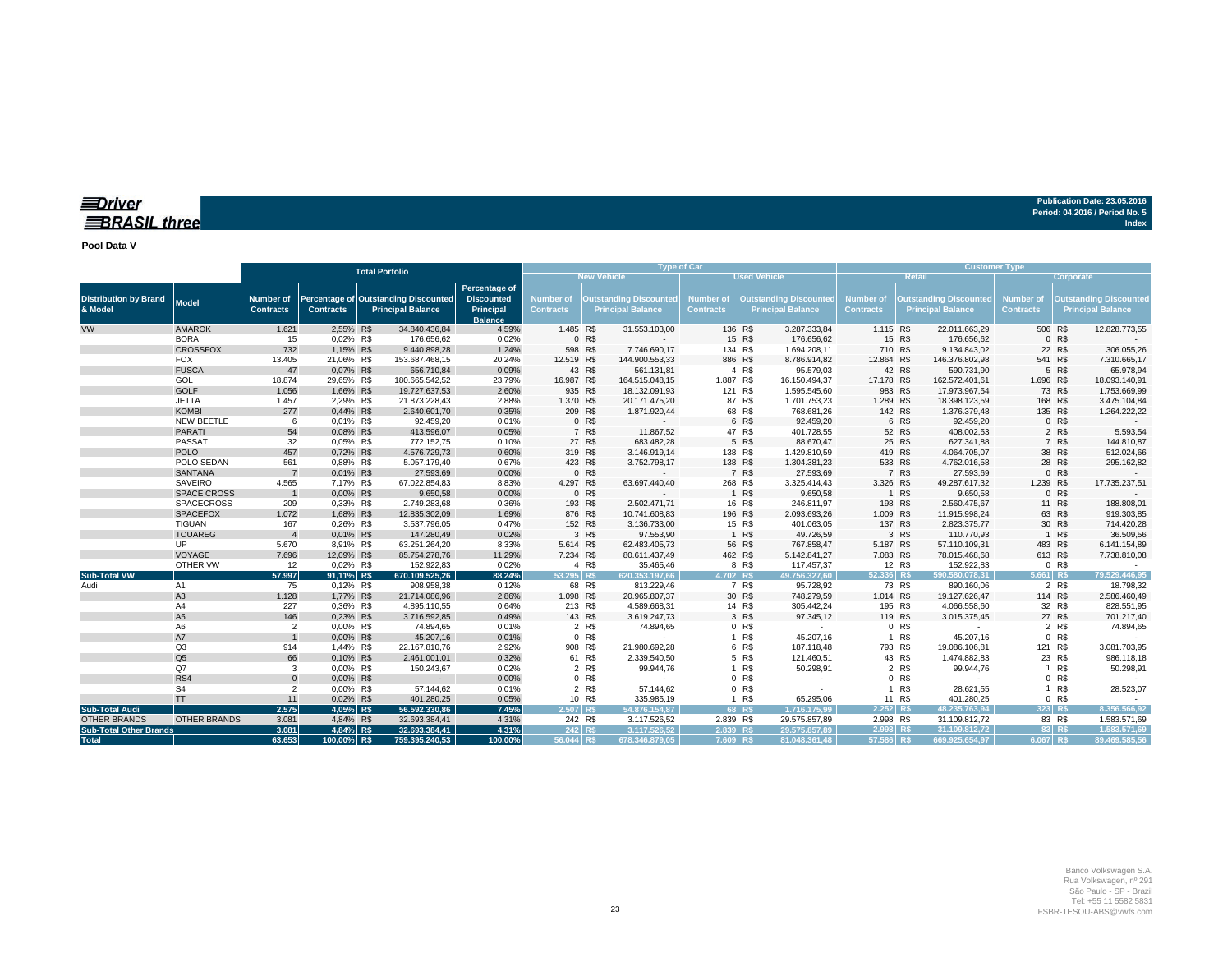### *<u>IDriver</u>* **BRASIL three**

**Publication Date: 23.05.2016 Period: 04.2016 / Period No. 5 Index**

**Pool Data V**

|                                              |                             |                               |                        | <b>Total Porfolio</b>                                            |                                                                   |                               | <b>Type of Car</b> |                                                           |                                      |         | <b>Customer Type</b>                                      |                               |                                                           |                                |                                      |        |                                                           |
|----------------------------------------------|-----------------------------|-------------------------------|------------------------|------------------------------------------------------------------|-------------------------------------------------------------------|-------------------------------|--------------------|-----------------------------------------------------------|--------------------------------------|---------|-----------------------------------------------------------|-------------------------------|-----------------------------------------------------------|--------------------------------|--------------------------------------|--------|-----------------------------------------------------------|
|                                              |                             |                               |                        |                                                                  | <b>New Vehicle</b><br><b>Used Vehicle</b>                         |                               |                    |                                                           |                                      |         |                                                           |                               | <b>Corporate</b>                                          |                                |                                      |        |                                                           |
| <b>Distribution by Brand</b><br>& Model      | Model                       | Number of<br><b>Contracts</b> | <b>Contracts</b>       | Percentage of Outstanding Discounted<br><b>Principal Balance</b> | Percentage of<br><b>Discounted</b><br>Principal<br><b>Balance</b> | Number of<br><b>Contracts</b> |                    | <b>Outstanding Discounted</b><br><b>Principal Balance</b> | <b>Number of</b><br><b>Contracts</b> |         | <b>Outstanding Discounted</b><br><b>Principal Balance</b> | Number of<br><b>Contracts</b> | <b>Outstanding Discounted</b><br><b>Principal Balance</b> |                                | <b>Number of</b><br><b>Contracts</b> |        | <b>Outstanding Discounted</b><br><b>Principal Balance</b> |
| <b>VW</b>                                    | <b>AMAROK</b>               | 1.621                         | 2,55% R\$              | 34.840.436,84                                                    | 4,59%                                                             | 1.485 R\$                     |                    | 31.553.103,00                                             |                                      | 136 R\$ | 3.287.333,84                                              | 1.115 R\$                     |                                                           | 22.011.663,29                  | 506 R\$                              |        | 12.828.773,55                                             |
|                                              | <b>BORA</b>                 | 15                            | 0,02% R\$              | 176.656,62                                                       | 0,02%                                                             |                               | 0 R\$              |                                                           |                                      | 15 R\$  | 176.656,62                                                |                               | 15 R\$                                                    | 176.656,62                     |                                      | 0 R\$  |                                                           |
|                                              | <b>CROSSFOX</b>             | 732                           | 1,15% R\$              | 9.440.898,28                                                     | 1,24%                                                             |                               | 598 R\$            | 7.746.690,17                                              |                                      | 134 R\$ | 1.694.208,11                                              | 710 R\$                       |                                                           | 9.134.843,02                   |                                      | 22 R\$ | 306.055,26                                                |
|                                              | <b>FOX</b>                  | 13.405                        | 21,06% R\$             | 153.687.468,15                                                   | 20,24%                                                            | 12.519 R\$                    |                    | 144.900.553,33                                            |                                      | 886 R\$ | 8.786.914,82                                              | 12.864 R\$                    |                                                           | 146.376.802,98                 | 541 R\$                              |        | 7.310.665,17                                              |
|                                              | <b>FUSCA</b>                | 47                            | 0,07% R\$              | 656,710.84                                                       | 0,09%                                                             |                               | 43 R\$             | 561.131,81                                                |                                      | 4 R\$   | 95.579,03                                                 |                               | 42 R\$                                                    | 590.731,90                     |                                      | 5 R\$  | 65.978,94                                                 |
|                                              | GOL                         | 18.874                        | 29,65% R\$             | 180.665.542,52                                                   | 23,79%                                                            | 16.987 R\$                    |                    | 164.515.048,15                                            | 1.887 R\$                            |         | 16.150.494,37                                             | 17.178 R\$                    |                                                           | 162.572.401,61                 | 1.696 R\$                            |        | 18.093.140,91                                             |
|                                              | <b>GOLF</b>                 | 1.056                         | 1,66% R\$              | 19.727.637,53                                                    | 2,60%                                                             |                               | 935 R\$            | 18.132.091,93                                             |                                      | 121 R\$ | 1.595.545,60                                              | 983 R\$                       |                                                           | 17.973.967,54                  |                                      | 73 R\$ | 1.753.669,99                                              |
|                                              | <b>JETTA</b>                | 1.457                         | 2,29% R\$              | 21.873.228,43                                                    | 2,88%                                                             | 1.370 R\$                     |                    | 20.171.475,20                                             |                                      | 87 R\$  | 1.701.753,23                                              | 1.289 R\$                     |                                                           | 18.398.123,59                  | 168 R\$                              |        | 3.475.104,84                                              |
|                                              | <b>KOMBI</b>                | 277                           | 0,44% R\$              | 2.640.601,70                                                     | 0,35%                                                             |                               | 209 R\$            | 1.871.920,44                                              |                                      | 68 R\$  | 768.681,26                                                | 142 R\$                       |                                                           | 1.376.379,48                   | 135 R\$                              |        | 1.264.222,22                                              |
|                                              | NEW BEETLE                  | 6                             | 0,01% R\$              | 92.459.20                                                        | 0,01%                                                             |                               | 0 R\$              |                                                           |                                      | 6 R\$   | 92.459,20                                                 |                               | 6 R\$                                                     | 92.459,20                      |                                      | 0 R\$  |                                                           |
|                                              | <b>PARATI</b>               | 54                            | 0,08% R\$              | 413.596,07                                                       | 0,05%                                                             |                               | 7 R\$              | 11.867,52                                                 |                                      | 47 R\$  | 401.728,55                                                |                               | 52 R\$                                                    | 408.002,53                     |                                      | 2 R\$  | 5.593,54                                                  |
|                                              | PASSAT                      | 32                            | 0,05% R\$              | 772.152,75                                                       | 0,10%                                                             |                               | 27 R\$             | 683.482,28                                                |                                      | 5 R\$   | 88.670,47                                                 |                               | 25 R\$                                                    | 627.341,88                     |                                      | 7 R\$  | 144.810,87                                                |
|                                              | <b>POLO</b>                 | 457                           | 0,72% R\$              | 4.576.729,73                                                     | 0,60%                                                             |                               | 319 R\$            | 3.146.919,14                                              |                                      | 138 R\$ | 1.429.810,59                                              | 419 R\$                       |                                                           | 4.064.705,07                   |                                      | 38 R\$ | 512.024,66                                                |
|                                              | POLO SEDAN                  | 561                           | 0,88% R\$              | 5.057.179,40                                                     | 0,67%                                                             |                               | 423 R\$            | 3.752.798,17                                              |                                      | 138 R\$ | 1.304.381,23                                              | 533 R\$                       |                                                           | 4.762.016,58                   |                                      | 28 R\$ | 295.162,82                                                |
|                                              | <b>SANTANA</b>              |                               | 0,01% R\$              | 27.593,69                                                        | 0,00%                                                             |                               | 0 R\$              |                                                           |                                      | 7 R\$   | 27.593,69                                                 |                               | 7 R\$                                                     | 27.593,69                      |                                      | 0 R\$  |                                                           |
|                                              | SAVEIRO                     | 4.565                         | 7,17% R\$              | 67.022.854,83                                                    | 8,83%                                                             | 4.297 R\$                     |                    | 63.697.440,40                                             |                                      | 268 R\$ | 3.325.414,43                                              | 3.326 R\$                     |                                                           | 49.287.617,32                  | 1.239 R\$                            |        | 17.735.237,51                                             |
|                                              | <b>SPACE CROSS</b>          |                               | 0,00% R\$              | 9.650,58                                                         | 0,00%                                                             |                               | 0 R\$              |                                                           |                                      | 1 R\$   | 9.650,58                                                  |                               | 1 R\$                                                     | 9.650,58                       |                                      | 0 R\$  |                                                           |
|                                              | <b>SPACECROSS</b>           | 209                           | 0,33% R\$              | 2.749.283,68                                                     | 0,36%                                                             |                               | 193 R\$            | 2.502.471,71                                              |                                      | 16 R\$  | 246.811,97                                                | 198 R\$                       |                                                           | 2.560.475,67                   |                                      | 11 R\$ | 188.808,01                                                |
|                                              | <b>SPACEFOX</b>             | 1.072                         | 1,68% R\$              | 12.835.302,09                                                    | 1,69%                                                             |                               | 876 R\$            | 10.741.608,83                                             |                                      | 196 R\$ | 2.093.693,26                                              | 1.009 R\$                     |                                                           | 11.915.998,24                  |                                      | 63 R\$ | 919.303,85                                                |
|                                              | <b>TIGUAN</b>               | 167                           | 0,26% R\$              | 3.537.796,05                                                     | 0,47%                                                             |                               | 152 R\$            | 3.136.733,00                                              |                                      | 15 R\$  | 401.063,05                                                | 137 R\$                       |                                                           | 2.823.375,77                   |                                      | 30 R\$ | 714.420,28                                                |
|                                              | <b>TOUAREG</b>              |                               | 0,01% R\$              | 147.280,49                                                       | 0,02%                                                             |                               | 3 R\$              | 97.553,90                                                 |                                      | 1 R\$   | 49.726,59                                                 |                               | 3 R\$                                                     | 110.770,93                     |                                      | 1 R\$  | 36.509,56                                                 |
|                                              | UP                          | 5.670                         | 8,91% R\$              | 63.251.264,20                                                    | 8,33%                                                             | 5.614 R\$                     |                    | 62.483.405,73                                             |                                      | 56 R\$  | 767.858,47                                                | 5.187 R\$                     |                                                           | 57.110.109,31                  | 483 R\$                              |        | 6.141.154,89                                              |
|                                              | VOYAGE                      | 7.696                         | 12,09% R\$             | 85.754.278,76                                                    | 11,29%                                                            | 7.234 R\$                     |                    | 80.611.437,49                                             |                                      | 462 R\$ | 5.142.841,27                                              | 7.083 R\$                     |                                                           | 78.015.468,68                  | 613 R\$                              |        | 7.738.810,08                                              |
|                                              | OTHER VW                    | 12                            | 0,02% R\$              | 152.922,83                                                       | 0,02%                                                             |                               | 4 R\$              | 35.465,46                                                 |                                      | 8 R\$   | 117.457,37                                                |                               | 12 R\$                                                    | 152.922,83                     |                                      | 0 R\$  |                                                           |
| <b>Sub-Total VW</b>                          |                             | 57.997                        | 91,11% R\$             | 670.109.525,26                                                   | 88,24%                                                            | $53.295$ R\$                  |                    | 620.353.197.66                                            | 4.702 R\$                            |         | 49.756.327.60                                             | $52.336$ R\$                  |                                                           | 590.580.078,31                 | $5.661$ R\$                          |        | 79.529.446,95                                             |
| Audi                                         | A1                          | 75                            | 0,12% R\$              | 908.958,38                                                       | 0,12%                                                             |                               | 68 R\$             | 813.229,46                                                |                                      | 7 R\$   | 95.728,92                                                 |                               | 73 R\$                                                    | 890.160,06                     |                                      | 2 R\$  | 18.798,32                                                 |
|                                              | A <sub>3</sub>              | 1.128                         | 1,77% R\$              | 21.714.086,96                                                    | 2,86%                                                             | 1.098 R\$                     |                    | 20.965.807,37                                             |                                      | 30 R\$  | 748.279,59                                                | 1.014 R\$                     |                                                           | 19.127.626,47                  | 114 R\$                              |        | 2.586.460,49                                              |
|                                              | A4                          | 227                           | 0,36% R\$              | 4.895.110,55                                                     | 0,64%                                                             |                               | 213 R\$            | 4.589.668,31                                              |                                      | 14 R\$  | 305.442,24                                                | 195 R\$                       |                                                           | 4.066.558,60                   |                                      | 32 R\$ | 828.551,95                                                |
|                                              | A <sub>5</sub>              | 146                           | 0,23% R\$              | 3.716.592,85                                                     | 0,49%                                                             |                               | 143 R\$            | 3.619.247,73                                              |                                      | 3 R\$   | 97.345,12                                                 | 119 R\$                       |                                                           | 3.015.375,45                   |                                      | 27 R\$ | 701.217,40                                                |
|                                              | A <sub>6</sub>              | $\overline{2}$                | 0,00% R\$              | 74.894,65                                                        | 0,01%                                                             |                               | 2 R\$              | 74.894,65                                                 |                                      | 0 R\$   | $\sim$                                                    |                               | 0 R\$                                                     | $\sim$                         |                                      | 2 R\$  | 74.894,65                                                 |
|                                              | A7                          |                               | 0,00% R\$              | 45.207,16                                                        | 0,01%                                                             |                               | 0 R\$              |                                                           |                                      | 1 R\$   | 45.207,16                                                 |                               | 1 R\$                                                     | 45.207,16                      |                                      | 0 R\$  |                                                           |
|                                              | Q <sub>3</sub>              | 914                           | 1,44% R\$              | 22.167.810,76                                                    | 2,92%                                                             |                               | 908 R\$            | 21.980.692,28                                             |                                      | 6 R\$   | 187.118,48                                                | 793 R\$                       |                                                           | 19.086.106,81                  | 121 R\$                              |        | 3.081.703,95                                              |
|                                              | Q <sub>5</sub>              | 66                            | 0,10% R\$              | 2.461.001,01                                                     | 0,32%                                                             |                               | 61 R\$             | 2.339.540,50                                              |                                      | 5 R\$   | 121.460,51                                                |                               | 43 R\$                                                    | 1.474.882,83                   |                                      | 23 R\$ | 986.118,18                                                |
|                                              | Q7                          | 3                             | 0,00% R\$              | 150.243,67                                                       | 0,02%                                                             |                               | 2 R\$              | 99.944,76                                                 |                                      | 1 R\$   | 50.298,91                                                 |                               | 2 R\$                                                     | 99.944,76                      |                                      | 1 R\$  | 50.298,91                                                 |
|                                              | RS4                         | $\Omega$                      | 0,00% R\$              | $\sim 100$                                                       | 0,00%                                                             |                               | 0 R\$              |                                                           |                                      | 0 R\$   |                                                           |                               | 0 R\$                                                     |                                |                                      | 0 R\$  |                                                           |
|                                              | S <sub>4</sub><br><b>TT</b> | $\overline{2}$                | 0,00% R\$              | 57.144,62                                                        | 0,01%                                                             |                               | 2 R\$              | 57.144,62                                                 |                                      | 0 R\$   |                                                           |                               | 1 R\$                                                     | 28.621,55                      | $\mathbf{1}$                         | R\$    | 28.523,07                                                 |
|                                              |                             | 11                            | 0,02% R\$              | 401.280,25                                                       | 0,05%                                                             |                               | 10 R\$             | 335.985,19                                                | $\mathbf{1}$                         | R\$     | 65.295,06                                                 |                               | 11 R\$                                                    | 401.280,25                     |                                      | 0 R\$  | 8.356.566,92                                              |
| <b>Sub-Total Audi</b><br><b>OTHER BRANDS</b> |                             | 2.575<br>3.081                | 4.05% R\$              | 56.592.330.86                                                    | 7.45%<br>4,31%                                                    | 2.507 R\$                     |                    | 54.876.154.87                                             | 2.839 R\$                            | 68 RS   | 1.716.175.99                                              | $2.252$ R\$                   |                                                           | 48.235.763,94                  | 323 RS                               | 83 R\$ |                                                           |
|                                              | <b>OTHER BRANDS</b>         | 3.081                         | 4,84% R\$<br>4,84% R\$ | 32.693.384,41<br>32.693.384.41                                   | 4,31%                                                             |                               | 242 R\$<br>242 R\$ | 3.117.526,52<br>3.117.526.52                              | 2.839 RS                             |         | 29.575.857,89<br>29.575.857.89                            | 2.998 R\$<br>$2.998$ R\$      |                                                           | 31.109.812,72<br>31.109.812.72 | 83 RS                                |        | 1.583.571,69<br>1.583.571.69                              |
| <b>Sub-Total Other Brands</b>                |                             | 63.653                        | 100.00% R\$            | 759.395.240.53                                                   | 100.00%                                                           |                               |                    |                                                           |                                      |         |                                                           | 57.586 R\$                    |                                                           | 669.925.654.97                 | 6.067 RS                             |        | 89.469.585.56                                             |
| <b>Total</b>                                 |                             |                               |                        |                                                                  |                                                                   | 56.044 R\$                    |                    | 678.346.879,05                                            | 7.609 R\$                            |         | 81.048.361,48                                             |                               |                                                           |                                |                                      |        |                                                           |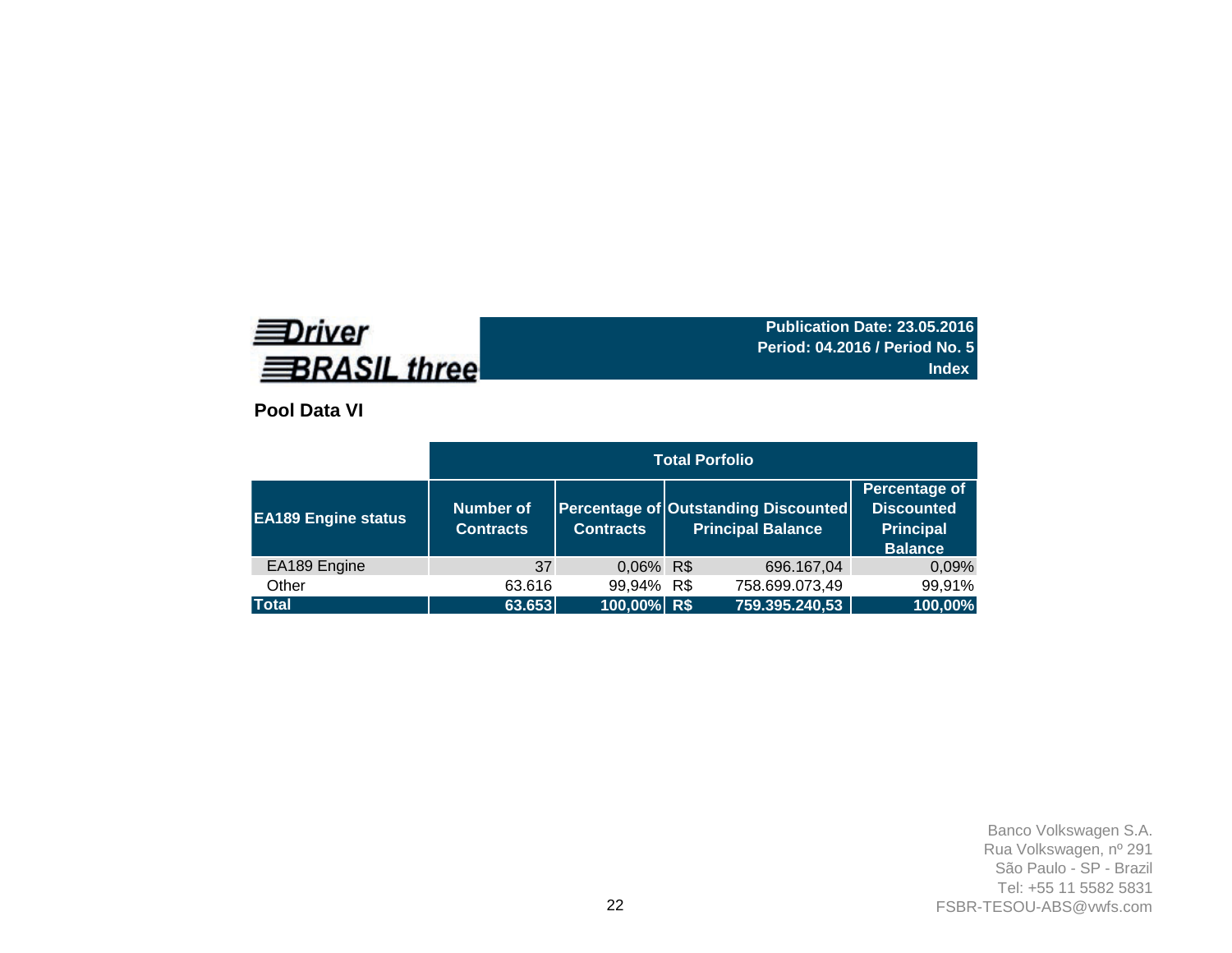# **EDriver BRASIL three**

**Publication Date: 23.05.2016 Period: 04.2016 / Period No. 5 Index**

**Pool Data VI**

|                            |                                      |                  | <b>Total Porfolio</b>                                                   |                                                                          |
|----------------------------|--------------------------------------|------------------|-------------------------------------------------------------------------|--------------------------------------------------------------------------|
| <b>EA189</b> Engine status | <b>Number of</b><br><b>Contracts</b> | <b>Contracts</b> | <b>Percentage of Outstanding Discounted</b><br><b>Principal Balance</b> | Percentage of<br><b>Discounted</b><br><b>Principal</b><br><b>Balance</b> |
| EA189 Engine               | 37                                   | 0,06% R\$        | 696.167,04                                                              | 0,09%                                                                    |
| Other                      | 63.616                               | 99,94% R\$       | 758.699.073,49                                                          | 99,91%                                                                   |
| <b>Total</b>               | 63.653                               | 100,00% R\$      | 759.395.240,53                                                          | 100,00%                                                                  |